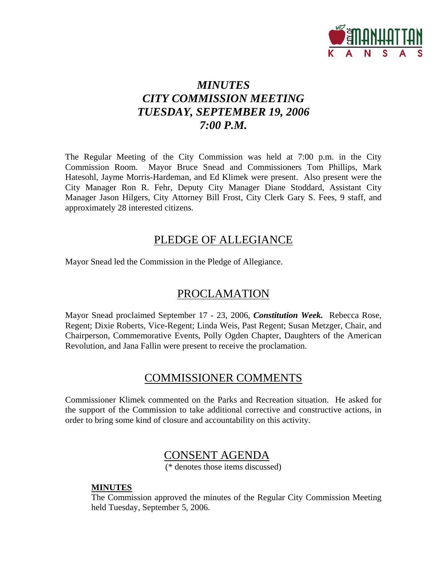

# *MINUTES CITY COMMISSION MEETING TUESDAY, SEPTEMBER 19, 2006 7:00 P.M.*

The Regular Meeting of the City Commission was held at 7:00 p.m. in the City Commission Room. Mayor Bruce Snead and Commissioners Tom Phillips, Mark Hatesohl, Jayme Morris-Hardeman, and Ed Klimek were present. Also present were the City Manager Ron R. Fehr, Deputy City Manager Diane Stoddard, Assistant City Manager Jason Hilgers, City Attorney Bill Frost, City Clerk Gary S. Fees, 9 staff, and approximately 28 interested citizens.

# PLEDGE OF ALLEGIANCE

Mayor Snead led the Commission in the Pledge of Allegiance.

# PROCLAMATION

Mayor Snead proclaimed September 17 - 23, 2006, *Constitution Week.* Rebecca Rose, Regent; Dixie Roberts, Vice-Regent; Linda Weis, Past Regent; Susan Metzger, Chair, and Chairperson, Commemorative Events, Polly Ogden Chapter, Daughters of the American Revolution, and Jana Fallin were present to receive the proclamation.

# COMMISSIONER COMMENTS

Commissioner Klimek commented on the Parks and Recreation situation. He asked for the support of the Commission to take additional corrective and constructive actions, in order to bring some kind of closure and accountability on this activity.

## CONSENT AGENDA

(\* denotes those items discussed)

#### **MINUTES**

The Commission approved the minutes of the Regular City Commission Meeting held Tuesday, September 5, 2006.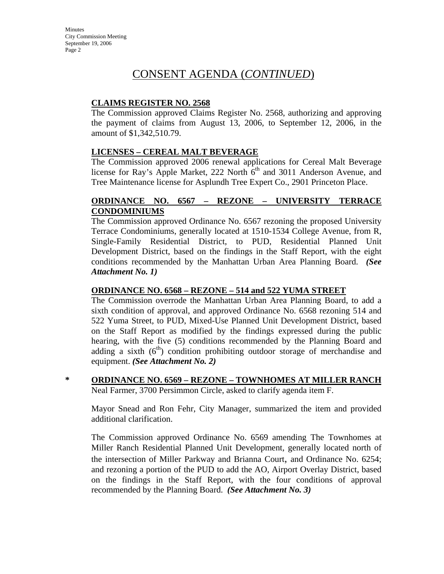## CONSENT AGENDA (*CONTINUED*)

#### **CLAIMS REGISTER NO. 2568**

The Commission approved Claims Register No. 2568, authorizing and approving the payment of claims from August 13, 2006, to September 12, 2006, in the amount of \$1,342,510.79.

#### **LICENSES – CEREAL MALT BEVERAGE**

The Commission approved 2006 renewal applications for Cereal Malt Beverage license for Ray's Apple Market, 222 North  $6<sup>th</sup>$  and 3011 Anderson Avenue, and Tree Maintenance license for Asplundh Tree Expert Co., 2901 Princeton Place.

#### **ORDINANCE NO. 6567 – REZONE – UNIVERSITY TERRACE CONDOMINIUMS**

The Commission approved Ordinance No. 6567 rezoning the proposed University Terrace Condominiums, generally located at 1510-1534 College Avenue, from R, Single-Family Residential District, to PUD, Residential Planned Unit Development District, based on the findings in the Staff Report, with the eight conditions recommended by the Manhattan Urban Area Planning Board. *(See Attachment No. 1)*

#### **ORDINANCE NO. 6568 – REZONE – 514 and 522 YUMA STREET**

The Commission overrode the Manhattan Urban Area Planning Board, to add a sixth condition of approval, and approved Ordinance No. 6568 rezoning 514 and 522 Yuma Street, to PUD, Mixed-Use Planned Unit Development District, based on the Staff Report as modified by the findings expressed during the public hearing, with the five (5) conditions recommended by the Planning Board and adding a sixth  $(6<sup>th</sup>)$  condition prohibiting outdoor storage of merchandise and equipment. *(See Attachment No. 2)*

**\* ORDINANCE NO. 6569 – REZONE – TOWNHOMES AT MILLER RANCH** Neal Farmer, 3700 Persimmon Circle, asked to clarify agenda item F.

Mayor Snead and Ron Fehr, City Manager, summarized the item and provided additional clarification.

The Commission approved Ordinance No. 6569 amending The Townhomes at Miller Ranch Residential Planned Unit Development, generally located north of the intersection of Miller Parkway and Brianna Court, and Ordinance No. 6254; and rezoning a portion of the PUD to add the AO, Airport Overlay District, based on the findings in the Staff Report, with the four conditions of approval recommended by the Planning Board. *(See Attachment No. 3)*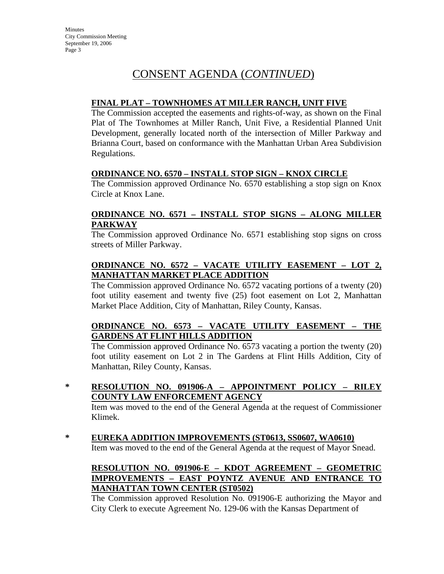# CONSENT AGENDA (*CONTINUED*)

#### **FINAL PLAT – TOWNHOMES AT MILLER RANCH, UNIT FIVE**

The Commission accepted the easements and rights-of-way, as shown on the Final Plat of The Townhomes at Miller Ranch, Unit Five, a Residential Planned Unit Development, generally located north of the intersection of Miller Parkway and Brianna Court, based on conformance with the Manhattan Urban Area Subdivision Regulations.

#### **ORDINANCE NO. 6570 – INSTALL STOP SIGN – KNOX CIRCLE**

The Commission approved Ordinance No. 6570 establishing a stop sign on Knox Circle at Knox Lane.

#### **ORDINANCE NO. 6571 – INSTALL STOP SIGNS – ALONG MILLER PARKWAY**

The Commission approved Ordinance No. 6571 establishing stop signs on cross streets of Miller Parkway.

#### **ORDINANCE NO. 6572 – VACATE UTILITY EASEMENT – LOT 2, MANHATTAN MARKET PLACE ADDITION**

The Commission approved Ordinance No. 6572 vacating portions of a twenty (20) foot utility easement and twenty five (25) foot easement on Lot 2, Manhattan Market Place Addition, City of Manhattan, Riley County, Kansas.

#### **ORDINANCE NO. 6573 – VACATE UTILITY EASEMENT – THE GARDENS AT FLINT HILLS ADDITION**

The Commission approved Ordinance No. 6573 vacating a portion the twenty (20) foot utility easement on Lot 2 in The Gardens at Flint Hills Addition, City of Manhattan, Riley County, Kansas.

**\* RESOLUTION NO. 091906-A – APPOINTMENT POLICY – RILEY COUNTY LAW ENFORCEMENT AGENCY**

Item was moved to the end of the General Agenda at the request of Commissioner Klimek.

**\* EUREKA ADDITION IMPROVEMENTS (ST0613, SS0607, WA0610)** Item was moved to the end of the General Agenda at the request of Mayor Snead.

#### **RESOLUTION NO. 091906-E – KDOT AGREEMENT – GEOMETRIC IMPROVEMENTS – EAST POYNTZ AVENUE AND ENTRANCE TO MANHATTAN TOWN CENTER (ST0502)**

The Commission approved Resolution No. 091906-E authorizing the Mayor and City Clerk to execute Agreement No. 129-06 with the Kansas Department of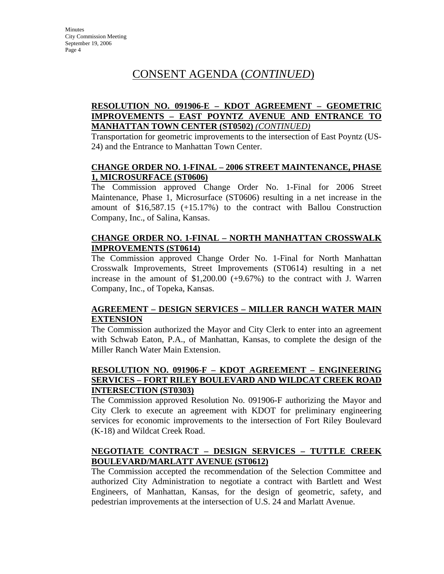# CONSENT AGENDA (*CONTINUED*)

#### **RESOLUTION NO. 091906-E – KDOT AGREEMENT – GEOMETRIC IMPROVEMENTS – EAST POYNTZ AVENUE AND ENTRANCE TO MANHATTAN TOWN CENTER (ST0502)** *(CONTINUED)*

Transportation for geometric improvements to the intersection of East Poyntz (US-24) and the Entrance to Manhattan Town Center.

#### **CHANGE ORDER NO. 1-FINAL – 2006 STREET MAINTENANCE, PHASE 1, MICROSURFACE (ST0606)**

The Commission approved Change Order No. 1-Final for 2006 Street Maintenance, Phase 1, Microsurface (ST0606) resulting in a net increase in the amount of \$16,587.15 (+15.17%) to the contract with Ballou Construction Company, Inc., of Salina, Kansas.

#### **CHANGE ORDER NO. 1-FINAL – NORTH MANHATTAN CROSSWALK IMPROVEMENTS (ST0614)**

The Commission approved Change Order No. 1-Final for North Manhattan Crosswalk Improvements, Street Improvements (ST0614) resulting in a net increase in the amount of \$1,200.00 (+9.67%) to the contract with J. Warren Company, Inc., of Topeka, Kansas.

#### **AGREEMENT – DESIGN SERVICES – MILLER RANCH WATER MAIN EXTENSION**

The Commission authorized the Mayor and City Clerk to enter into an agreement with Schwab Eaton, P.A., of Manhattan, Kansas, to complete the design of the Miller Ranch Water Main Extension.

#### **RESOLUTION NO. 091906-F – KDOT AGREEMENT – ENGINEERING SERVICES – FORT RILEY BOULEVARD AND WILDCAT CREEK ROAD INTERSECTION (ST0303)**

The Commission approved Resolution No. 091906-F authorizing the Mayor and City Clerk to execute an agreement with KDOT for preliminary engineering services for economic improvements to the intersection of Fort Riley Boulevard (K-18) and Wildcat Creek Road.

#### **NEGOTIATE CONTRACT – DESIGN SERVICES – TUTTLE CREEK BOULEVARD/MARLATT AVENUE (ST0612)**

The Commission accepted the recommendation of the Selection Committee and authorized City Administration to negotiate a contract with Bartlett and West Engineers, of Manhattan, Kansas, for the design of geometric, safety, and pedestrian improvements at the intersection of U.S. 24 and Marlatt Avenue.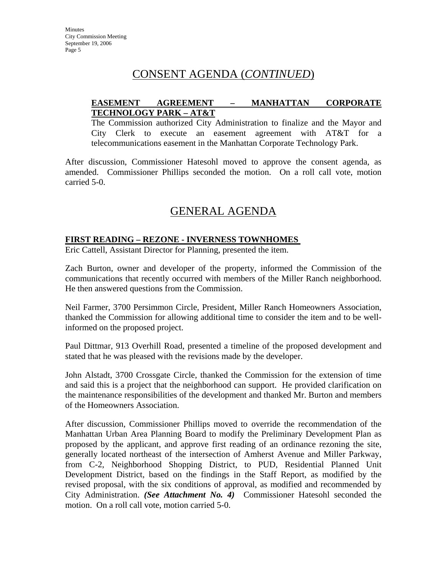# CONSENT AGENDA (*CONTINUED*)

#### **EASEMENT AGREEMENT – MANHATTAN CORPORATE TECHNOLOGY PARK – AT&T**

The Commission authorized City Administration to finalize and the Mayor and City Clerk to execute an easement agreement with AT&T for a telecommunications easement in the Manhattan Corporate Technology Park.

After discussion, Commissioner Hatesohl moved to approve the consent agenda, as amended. Commissioner Phillips seconded the motion. On a roll call vote, motion carried 5-0.

# GENERAL AGENDA

#### **FIRST READING – REZONE - INVERNESS TOWNHOMES**

Eric Cattell, Assistant Director for Planning, presented the item.

Zach Burton, owner and developer of the property, informed the Commission of the communications that recently occurred with members of the Miller Ranch neighborhood. He then answered questions from the Commission.

Neil Farmer, 3700 Persimmon Circle, President, Miller Ranch Homeowners Association, thanked the Commission for allowing additional time to consider the item and to be wellinformed on the proposed project.

Paul Dittmar, 913 Overhill Road, presented a timeline of the proposed development and stated that he was pleased with the revisions made by the developer.

John Alstadt, 3700 Crossgate Circle, thanked the Commission for the extension of time and said this is a project that the neighborhood can support. He provided clarification on the maintenance responsibilities of the development and thanked Mr. Burton and members of the Homeowners Association.

After discussion, Commissioner Phillips moved to override the recommendation of the Manhattan Urban Area Planning Board to modify the Preliminary Development Plan as proposed by the applicant, and approve first reading of an ordinance rezoning the site, generally located northeast of the intersection of Amherst Avenue and Miller Parkway, from C-2, Neighborhood Shopping District, to PUD, Residential Planned Unit Development District, based on the findings in the Staff Report, as modified by the revised proposal, with the six conditions of approval, as modified and recommended by City Administration. *(See Attachment No. 4)* Commissioner Hatesohl seconded the motion. On a roll call vote, motion carried 5-0.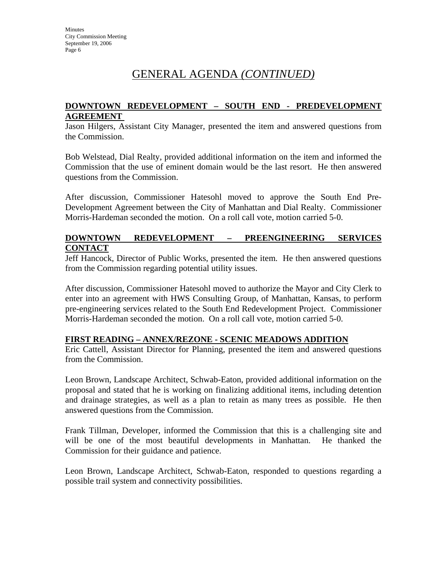# GENERAL AGENDA *(CONTINUED)*

#### **DOWNTOWN REDEVELOPMENT – SOUTH END - PREDEVELOPMENT AGREEMENT**

Jason Hilgers, Assistant City Manager, presented the item and answered questions from the Commission.

Bob Welstead, Dial Realty, provided additional information on the item and informed the Commission that the use of eminent domain would be the last resort. He then answered questions from the Commission.

After discussion, Commissioner Hatesohl moved to approve the South End Pre-Development Agreement between the City of Manhattan and Dial Realty. Commissioner Morris-Hardeman seconded the motion. On a roll call vote, motion carried 5-0.

#### **DOWNTOWN REDEVELOPMENT – PREENGINEERING SERVICES CONTACT**

Jeff Hancock, Director of Public Works, presented the item. He then answered questions from the Commission regarding potential utility issues.

After discussion, Commissioner Hatesohl moved to authorize the Mayor and City Clerk to enter into an agreement with HWS Consulting Group, of Manhattan, Kansas, to perform pre-engineering services related to the South End Redevelopment Project. Commissioner Morris-Hardeman seconded the motion. On a roll call vote, motion carried 5-0.

#### **FIRST READING – ANNEX/REZONE - SCENIC MEADOWS ADDITION**

Eric Cattell, Assistant Director for Planning, presented the item and answered questions from the Commission.

Leon Brown, Landscape Architect, Schwab-Eaton, provided additional information on the proposal and stated that he is working on finalizing additional items, including detention and drainage strategies, as well as a plan to retain as many trees as possible. He then answered questions from the Commission.

Frank Tillman, Developer, informed the Commission that this is a challenging site and will be one of the most beautiful developments in Manhattan. He thanked the Commission for their guidance and patience.

Leon Brown, Landscape Architect, Schwab-Eaton, responded to questions regarding a possible trail system and connectivity possibilities.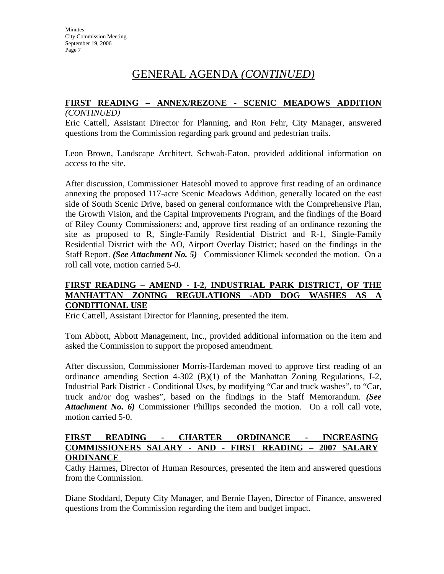# GENERAL AGENDA *(CONTINUED)*

#### **FIRST READING – ANNEX/REZONE - SCENIC MEADOWS ADDITION**  *(CONTINUED)*

Eric Cattell, Assistant Director for Planning, and Ron Fehr, City Manager, answered questions from the Commission regarding park ground and pedestrian trails.

Leon Brown, Landscape Architect, Schwab-Eaton, provided additional information on access to the site.

After discussion, Commissioner Hatesohl moved to approve first reading of an ordinance annexing the proposed 117-acre Scenic Meadows Addition, generally located on the east side of South Scenic Drive, based on general conformance with the Comprehensive Plan, the Growth Vision, and the Capital Improvements Program, and the findings of the Board of Riley County Commissioners; and, approve first reading of an ordinance rezoning the site as proposed to R, Single-Family Residential District and R-1, Single-Family Residential District with the AO, Airport Overlay District; based on the findings in the Staff Report. *(See Attachment No. 5)* Commissioner Klimek seconded the motion. On a roll call vote, motion carried 5-0.

#### **FIRST READING – AMEND - I-2, INDUSTRIAL PARK DISTRICT, OF THE MANHATTAN ZONING REGULATIONS -ADD DOG WASHES AS A CONDITIONAL USE**

Eric Cattell, Assistant Director for Planning, presented the item.

Tom Abbott, Abbott Management, Inc., provided additional information on the item and asked the Commission to support the proposed amendment.

After discussion, Commissioner Morris-Hardeman moved to approve first reading of an ordinance amending Section 4-302 (B)(1) of the Manhattan Zoning Regulations, I-2, Industrial Park District - Conditional Uses, by modifying "Car and truck washes", to "Car, truck and/or dog washes", based on the findings in the Staff Memorandum. *(See Attachment No. 6)* Commissioner Phillips seconded the motion. On a roll call vote, motion carried 5-0.

#### **FIRST READING - CHARTER ORDINANCE - INCREASING COMMISSIONERS SALARY - AND - FIRST READING – 2007 SALARY ORDINANCE**

Cathy Harmes, Director of Human Resources, presented the item and answered questions from the Commission.

Diane Stoddard, Deputy City Manager, and Bernie Hayen, Director of Finance, answered questions from the Commission regarding the item and budget impact.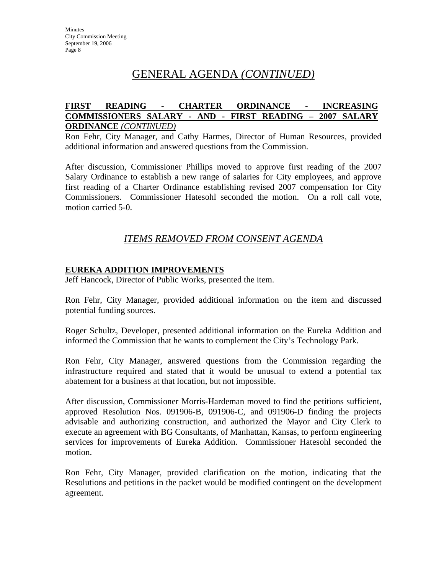# GENERAL AGENDA *(CONTINUED)*

#### **FIRST READING - CHARTER ORDINANCE - INCREASING COMMISSIONERS SALARY - AND - FIRST READING – 2007 SALARY ORDINANCE** *(CONTINUED)*

Ron Fehr, City Manager, and Cathy Harmes, Director of Human Resources, provided additional information and answered questions from the Commission.

After discussion, Commissioner Phillips moved to approve first reading of the 2007 Salary Ordinance to establish a new range of salaries for City employees, and approve first reading of a Charter Ordinance establishing revised 2007 compensation for City Commissioners. Commissioner Hatesohl seconded the motion. On a roll call vote, motion carried 5-0.

### *ITEMS REMOVED FROM CONSENT AGENDA*

#### **EUREKA ADDITION IMPROVEMENTS**

Jeff Hancock, Director of Public Works, presented the item.

Ron Fehr, City Manager, provided additional information on the item and discussed potential funding sources.

Roger Schultz, Developer, presented additional information on the Eureka Addition and informed the Commission that he wants to complement the City's Technology Park.

Ron Fehr, City Manager, answered questions from the Commission regarding the infrastructure required and stated that it would be unusual to extend a potential tax abatement for a business at that location, but not impossible.

After discussion, Commissioner Morris-Hardeman moved to find the petitions sufficient, approved Resolution Nos. 091906-B, 091906-C, and 091906-D finding the projects advisable and authorizing construction, and authorized the Mayor and City Clerk to execute an agreement with BG Consultants, of Manhattan, Kansas, to perform engineering services for improvements of Eureka Addition. Commissioner Hatesohl seconded the motion.

Ron Fehr, City Manager, provided clarification on the motion, indicating that the Resolutions and petitions in the packet would be modified contingent on the development agreement.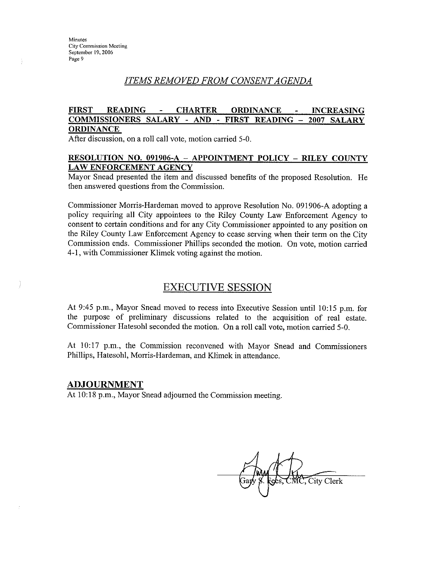÷

#### ITEMS REMOVED FROM CONSENT AGENDA

#### **FIRST READING CHARTER ORDINANCE INCREASING** COMMISSIONERS SALARY - AND - FIRST READING -2007 SALARY **ORDINANCE**

After discussion, on a roll call vote, motion carried 5-0.

#### RESOLUTION NO. 091906-A - APPOINTMENT POLICY - RILEY COUNTY **LAW ENFORCEMENT AGENCY**

Mayor Snead presented the item and discussed benefits of the proposed Resolution. He then answered questions from the Commission.

Commissioner Morris-Hardeman moved to approve Resolution No. 091906-A adopting a policy requiring all City appointees to the Riley County Law Enforcement Agency to consent to certain conditions and for any City Commissioner appointed to any position on the Riley County Law Enforcement Agency to cease serving when their term on the City Commission ends. Commissioner Phillips seconded the motion. On vote, motion carried 4-1, with Commissioner Klimek voting against the motion.

#### **EXECUTIVE SESSION**

At 9:45 p.m., Mayor Snead moved to recess into Executive Session until 10:15 p.m. for the purpose of preliminary discussions related to the acquisition of real estate. Commissioner Hatesohl seconded the motion. On a roll call vote, motion carried 5-0.

At 10:17 p.m., the Commission reconvened with Mayor Snead and Commissioners Phillips, Hatesohl, Morris-Hardeman, and Klimek in attendance.

#### **ADJOURNMENT**

At 10:18 p.m., Mayor Snead adjourned the Commission meeting.

City Clerk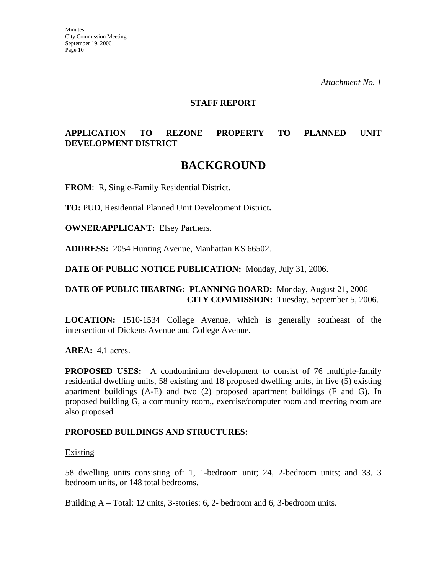#### **STAFF REPORT**

#### **APPLICATION TO REZONE PROPERTY TO PLANNED UNIT DEVELOPMENT DISTRICT**

# **BACKGROUND**

**FROM**: R, Single-Family Residential District.

**TO:** PUD, Residential Planned Unit Development District**.**

**OWNER/APPLICANT:** Elsey Partners.

**ADDRESS:** 2054 Hunting Avenue, Manhattan KS 66502.

**DATE OF PUBLIC NOTICE PUBLICATION:** Monday, July 31, 2006.

#### **DATE OF PUBLIC HEARING: PLANNING BOARD:** Monday, August 21, 2006 **CITY COMMISSION:** Tuesday, September 5, 2006.

**LOCATION:** 1510-1534 College Avenue, which is generally southeast of the intersection of Dickens Avenue and College Avenue.

**AREA:** 4.1 acres.

**PROPOSED USES:** A condominium development to consist of 76 multiple-family residential dwelling units, 58 existing and 18 proposed dwelling units, in five (5) existing apartment buildings (A-E) and two (2) proposed apartment buildings (F and G). In proposed building G, a community room,, exercise/computer room and meeting room are also proposed

#### **PROPOSED BUILDINGS AND STRUCTURES:**

#### Existing

58 dwelling units consisting of: 1, 1-bedroom unit; 24, 2-bedroom units; and 33, 3 bedroom units, or 148 total bedrooms.

Building A – Total: 12 units, 3-stories: 6, 2- bedroom and 6, 3-bedroom units.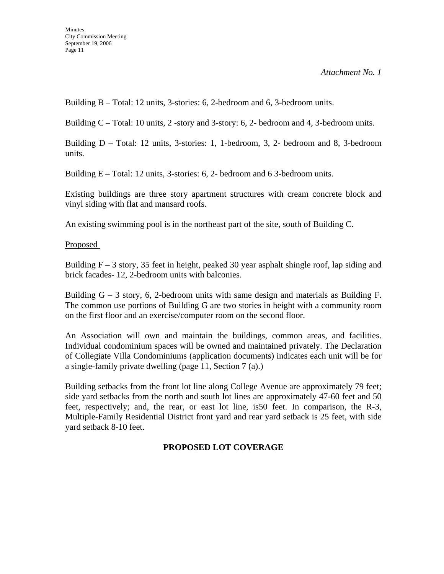Building B – Total: 12 units, 3-stories: 6, 2-bedroom and 6, 3-bedroom units.

Building C – Total: 10 units, 2 -story and 3-story: 6, 2- bedroom and 4, 3-bedroom units.

Building D – Total: 12 units, 3-stories: 1, 1-bedroom, 3, 2- bedroom and 8, 3-bedroom units.

Building E – Total: 12 units, 3-stories: 6, 2- bedroom and 6 3-bedroom units.

Existing buildings are three story apartment structures with cream concrete block and vinyl siding with flat and mansard roofs.

An existing swimming pool is in the northeast part of the site, south of Building C.

Proposed

Building  $F - 3$  story, 35 feet in height, peaked 30 year asphalt shingle roof, lap siding and brick facades- 12, 2-bedroom units with balconies.

Building  $G - 3$  story, 6, 2-bedroom units with same design and materials as Building F. The common use portions of Building G are two stories in height with a community room on the first floor and an exercise/computer room on the second floor.

An Association will own and maintain the buildings, common areas, and facilities. Individual condominium spaces will be owned and maintained privately. The Declaration of Collegiate Villa Condominiums (application documents) indicates each unit will be for a single-family private dwelling (page 11, Section 7 (a).)

Building setbacks from the front lot line along College Avenue are approximately 79 feet; side yard setbacks from the north and south lot lines are approximately 47-60 feet and 50 feet, respectively; and, the rear, or east lot line, is50 feet. In comparison, the R-3, Multiple-Family Residential District front yard and rear yard setback is 25 feet, with side yard setback 8-10 feet.

#### **PROPOSED LOT COVERAGE**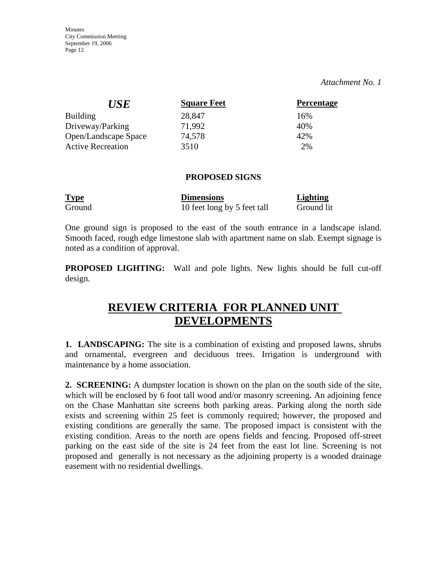*Attachment No. 1*

| <i>USE</i>               | <b>Square Feet</b> | <b>Percentage</b> |
|--------------------------|--------------------|-------------------|
| <b>Building</b>          | 28,847             | 16%               |
| Driveway/Parking         | 71,992             | 40%               |
| Open/Landscape Space     | 74,578             | 42%               |
| <b>Active Recreation</b> | 3510               | 2%                |

#### **PROPOSED SIGNS**

| <b>Type</b> | <b>Dimensions</b>           | <b>Lighting</b> |
|-------------|-----------------------------|-----------------|
| Ground      | 10 feet long by 5 feet tall | Ground lit      |

One ground sign is proposed to the east of the south entrance in a landscape island. Smooth faced, rough edge limestone slab with apartment name on slab. Exempt signage is noted as a condition of approval.

**PROPOSED LIGHTING:** Wall and pole lights. New lights should be full cut-off design.

# **REVIEW CRITERIA FOR PLANNED UNIT DEVELOPMENTS**

**1. LANDSCAPING:** The site is a combination of existing and proposed lawns, shrubs and ornamental, evergreen and deciduous trees. Irrigation is underground with maintenance by a home association.

**2. SCREENING:** A dumpster location is shown on the plan on the south side of the site, which will be enclosed by 6 foot tall wood and/or masonry screening. An adjoining fence on the Chase Manhattan site screens both parking areas. Parking along the north side exists and screening within 25 feet is commonly required; however, the proposed and existing conditions are generally the same. The proposed impact is consistent with the existing condition. Areas to the north are opens fields and fencing. Proposed off-street parking on the east side of the site is 24 feet from the east lot line. Screening is not proposed and generally is not necessary as the adjoining property is a wooded drainage easement with no residential dwellings.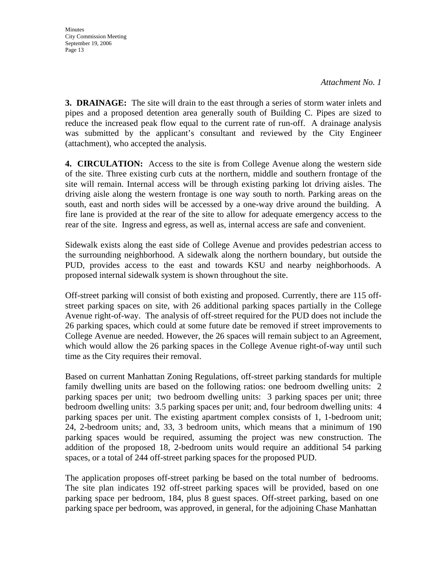**Minutes** City Commission Meeting September 19, 2006 Page 13

**3. DRAINAGE:** The site will drain to the east through a series of storm water inlets and pipes and a proposed detention area generally south of Building C. Pipes are sized to reduce the increased peak flow equal to the current rate of run-off. A drainage analysis was submitted by the applicant's consultant and reviewed by the City Engineer (attachment), who accepted the analysis.

**4. CIRCULATION:** Access to the site is from College Avenue along the western side of the site. Three existing curb cuts at the northern, middle and southern frontage of the site will remain. Internal access will be through existing parking lot driving aisles. The driving aisle along the western frontage is one way south to north. Parking areas on the south, east and north sides will be accessed by a one-way drive around the building. A fire lane is provided at the rear of the site to allow for adequate emergency access to the rear of the site. Ingress and egress, as well as, internal access are safe and convenient.

Sidewalk exists along the east side of College Avenue and provides pedestrian access to the surrounding neighborhood. A sidewalk along the northern boundary, but outside the PUD, provides access to the east and towards KSU and nearby neighborhoods. A proposed internal sidewalk system is shown throughout the site.

Off-street parking will consist of both existing and proposed. Currently, there are 115 offstreet parking spaces on site, with 26 additional parking spaces partially in the College Avenue right-of-way. The analysis of off-street required for the PUD does not include the 26 parking spaces, which could at some future date be removed if street improvements to College Avenue are needed. However, the 26 spaces will remain subject to an Agreement, which would allow the 26 parking spaces in the College Avenue right-of-way until such time as the City requires their removal.

Based on current Manhattan Zoning Regulations, off-street parking standards for multiple family dwelling units are based on the following ratios: one bedroom dwelling units: 2 parking spaces per unit; two bedroom dwelling units: 3 parking spaces per unit; three bedroom dwelling units: 3.5 parking spaces per unit; and, four bedroom dwelling units: 4 parking spaces per unit. The existing apartment complex consists of 1, 1-bedroom unit; 24, 2-bedroom units; and, 33, 3 bedroom units, which means that a minimum of 190 parking spaces would be required, assuming the project was new construction. The addition of the proposed 18, 2-bedroom units would require an additional 54 parking spaces, or a total of 244 off-street parking spaces for the proposed PUD.

The application proposes off-street parking be based on the total number of bedrooms. The site plan indicates 192 off-street parking spaces will be provided, based on one parking space per bedroom, 184, plus 8 guest spaces. Off-street parking, based on one parking space per bedroom, was approved, in general, for the adjoining Chase Manhattan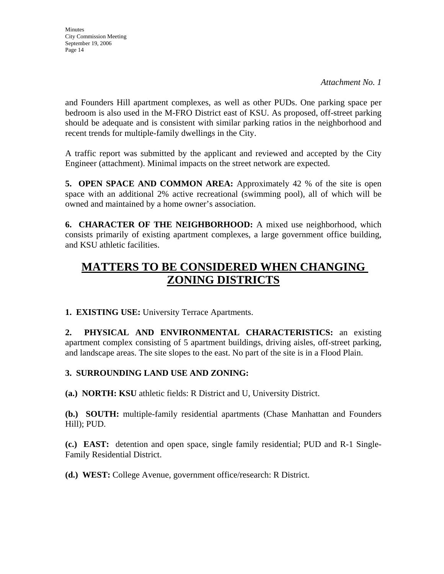**Minutes** City Commission Meeting September 19, 2006 Page 14

and Founders Hill apartment complexes, as well as other PUDs. One parking space per bedroom is also used in the M-FRO District east of KSU. As proposed, off-street parking should be adequate and is consistent with similar parking ratios in the neighborhood and recent trends for multiple-family dwellings in the City.

A traffic report was submitted by the applicant and reviewed and accepted by the City Engineer (attachment). Minimal impacts on the street network are expected.

**5. OPEN SPACE AND COMMON AREA:** Approximately 42 % of the site is open space with an additional 2% active recreational (swimming pool), all of which will be owned and maintained by a home owner's association.

**6. CHARACTER OF THE NEIGHBORHOOD:** A mixed use neighborhood, which consists primarily of existing apartment complexes, a large government office building, and KSU athletic facilities.

# **MATTERS TO BE CONSIDERED WHEN CHANGING ZONING DISTRICTS**

**1. EXISTING USE:** University Terrace Apartments.

**2. PHYSICAL AND ENVIRONMENTAL CHARACTERISTICS:** an existing apartment complex consisting of 5 apartment buildings, driving aisles, off-street parking, and landscape areas. The site slopes to the east. No part of the site is in a Flood Plain.

#### **3. SURROUNDING LAND USE AND ZONING:**

**(a.) NORTH: KSU** athletic fields: R District and U, University District.

**(b.) SOUTH:** multiple-family residential apartments (Chase Manhattan and Founders Hill); PUD.

**(c.) EAST:** detention and open space, single family residential; PUD and R-1 Single-Family Residential District.

**(d.) WEST:** College Avenue, government office/research: R District.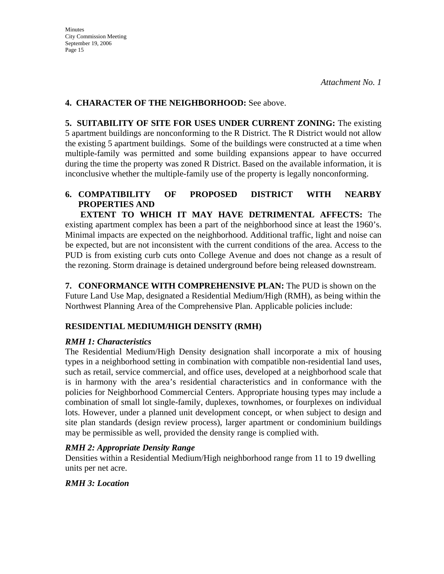#### **4. CHARACTER OF THE NEIGHBORHOOD:** See above.

**5. SUITABILITY OF SITE FOR USES UNDER CURRENT ZONING:** The existing 5 apartment buildings are nonconforming to the R District. The R District would not allow the existing 5 apartment buildings. Some of the buildings were constructed at a time when multiple-family was permitted and some building expansions appear to have occurred during the time the property was zoned R District. Based on the available information, it is inconclusive whether the multiple-family use of the property is legally nonconforming.

#### **6. COMPATIBILITY OF PROPOSED DISTRICT WITH NEARBY PROPERTIES AND**

 **EXTENT TO WHICH IT MAY HAVE DETRIMENTAL AFFECTS:** The existing apartment complex has been a part of the neighborhood since at least the 1960's. Minimal impacts are expected on the neighborhood. Additional traffic, light and noise can be expected, but are not inconsistent with the current conditions of the area. Access to the PUD is from existing curb cuts onto College Avenue and does not change as a result of the rezoning. Storm drainage is detained underground before being released downstream.

**7. CONFORMANCE WITH COMPREHENSIVE PLAN:** The PUD is shown on the Future Land Use Map, designated a Residential Medium/High (RMH), as being within the Northwest Planning Area of the Comprehensive Plan. Applicable policies include:

#### **RESIDENTIAL MEDIUM/HIGH DENSITY (RMH)**

#### *RMH 1: Characteristics*

The Residential Medium/High Density designation shall incorporate a mix of housing types in a neighborhood setting in combination with compatible non-residential land uses, such as retail, service commercial, and office uses, developed at a neighborhood scale that is in harmony with the area's residential characteristics and in conformance with the policies for Neighborhood Commercial Centers. Appropriate housing types may include a combination of small lot single-family, duplexes, townhomes, or fourplexes on individual lots. However, under a planned unit development concept, or when subject to design and site plan standards (design review process), larger apartment or condominium buildings may be permissible as well, provided the density range is complied with.

#### *RMH 2: Appropriate Density Range*

Densities within a Residential Medium/High neighborhood range from 11 to 19 dwelling units per net acre.

#### *RMH 3: Location*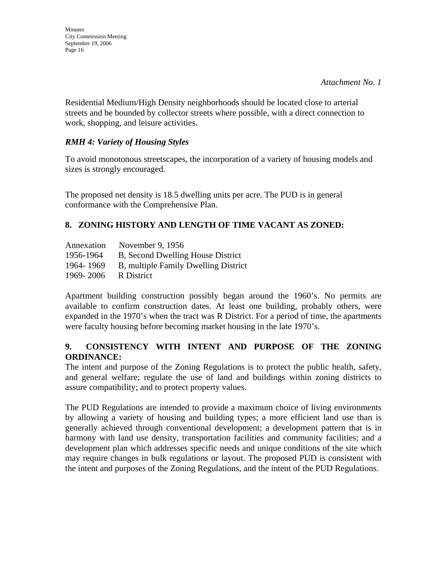*Attachment No. 1*

Residential Medium/High Density neighborhoods should be located close to arterial streets and be bounded by collector streets where possible, with a direct connection to work, shopping, and leisure activities.

#### *RMH 4: Variety of Housing Styles*

To avoid monotonous streetscapes, the incorporation of a variety of housing models and sizes is strongly encouraged.

The proposed net density is 18.5 dwelling units per acre. The PUD is in general conformance with the Comprehensive Plan.

#### **8. ZONING HISTORY AND LENGTH OF TIME VACANT AS ZONED:**

| Annexation | November 9, 1956                     |
|------------|--------------------------------------|
| 1956-1964  | B, Second Dwelling House District    |
| 1964-1969  | B, multiple Family Dwelling District |
| 1969-2006  | R District                           |

Apartment building construction possibly began around the 1960's. No permits are available to confirm construction dates. At least one building, probably others, were expanded in the 1970's when the tract was R District. For a period of time, the apartments were faculty housing before becoming market housing in the late 1970's.

#### **9. CONSISTENCY WITH INTENT AND PURPOSE OF THE ZONING ORDINANCE:**

The intent and purpose of the Zoning Regulations is to protect the public health, safety, and general welfare; regulate the use of land and buildings within zoning districts to assure compatibility; and to protect property values.

The PUD Regulations are intended to provide a maximum choice of living environments by allowing a variety of housing and building types; a more efficient land use than is generally achieved through conventional development; a development pattern that is in harmony with land use density, transportation facilities and community facilities; and a development plan which addresses specific needs and unique conditions of the site which may require changes in bulk regulations or layout. The proposed PUD is consistent with the intent and purposes of the Zoning Regulations, and the intent of the PUD Regulations.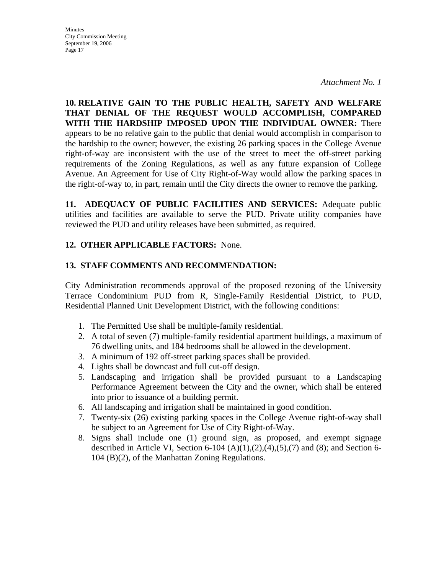*Attachment No. 1* 

**10. RELATIVE GAIN TO THE PUBLIC HEALTH, SAFETY AND WELFARE THAT DENIAL OF THE REQUEST WOULD ACCOMPLISH, COMPARED WITH THE HARDSHIP IMPOSED UPON THE INDIVIDUAL OWNER:** There appears to be no relative gain to the public that denial would accomplish in comparison to the hardship to the owner; however, the existing 26 parking spaces in the College Avenue right-of-way are inconsistent with the use of the street to meet the off-street parking requirements of the Zoning Regulations, as well as any future expansion of College Avenue. An Agreement for Use of City Right-of-Way would allow the parking spaces in the right-of-way to, in part, remain until the City directs the owner to remove the parking.

**11. ADEQUACY OF PUBLIC FACILITIES AND SERVICES:** Adequate public utilities and facilities are available to serve the PUD. Private utility companies have reviewed the PUD and utility releases have been submitted, as required.

#### **12. OTHER APPLICABLE FACTORS:** None.

#### **13. STAFF COMMENTS AND RECOMMENDATION:**

City Administration recommends approval of the proposed rezoning of the University Terrace Condominium PUD from R, Single-Family Residential District, to PUD, Residential Planned Unit Development District, with the following conditions:

- 1. The Permitted Use shall be multiple-family residential.
- 2. A total of seven (7) multiple-family residential apartment buildings, a maximum of 76 dwelling units, and 184 bedrooms shall be allowed in the development.
- 3. A minimum of 192 off-street parking spaces shall be provided.
- 4. Lights shall be downcast and full cut-off design.
- 5. Landscaping and irrigation shall be provided pursuant to a Landscaping Performance Agreement between the City and the owner, which shall be entered into prior to issuance of a building permit.
- 6. All landscaping and irrigation shall be maintained in good condition.
- 7. Twenty-six (26) existing parking spaces in the College Avenue right-of-way shall be subject to an Agreement for Use of City Right-of-Way.
- 8. Signs shall include one (1) ground sign, as proposed, and exempt signage described in Article VI, Section 6-104  $(A)(1),(2),(4),(5),(7)$  and  $(8)$ ; and Section 6-104 (B)(2), of the Manhattan Zoning Regulations.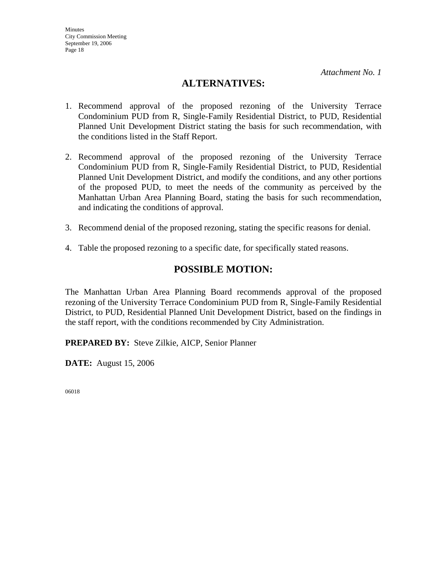*Attachment No. 1*

### **ALTERNATIVES:**

- 1. Recommend approval of the proposed rezoning of the University Terrace Condominium PUD from R, Single-Family Residential District, to PUD, Residential Planned Unit Development District stating the basis for such recommendation, with the conditions listed in the Staff Report.
- 2. Recommend approval of the proposed rezoning of the University Terrace Condominium PUD from R, Single-Family Residential District, to PUD, Residential Planned Unit Development District, and modify the conditions, and any other portions of the proposed PUD, to meet the needs of the community as perceived by the Manhattan Urban Area Planning Board, stating the basis for such recommendation, and indicating the conditions of approval.
- 3. Recommend denial of the proposed rezoning, stating the specific reasons for denial.
- 4. Table the proposed rezoning to a specific date, for specifically stated reasons.

### **POSSIBLE MOTION:**

The Manhattan Urban Area Planning Board recommends approval of the proposed rezoning of the University Terrace Condominium PUD from R, Single-Family Residential District, to PUD, Residential Planned Unit Development District, based on the findings in the staff report, with the conditions recommended by City Administration.

**PREPARED BY:** Steve Zilkie, AICP, Senior Planner

**DATE:** August 15, 2006

06018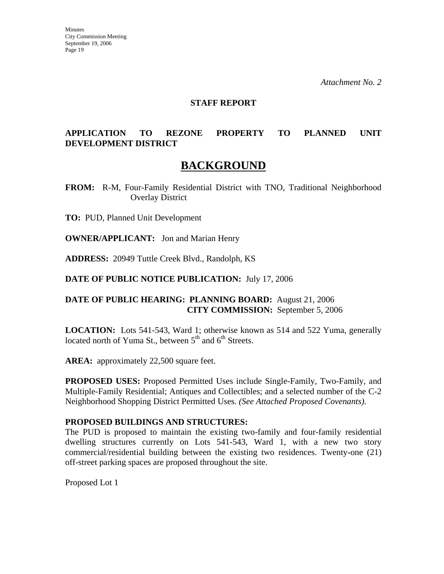*Attachment No. 2* 

#### **STAFF REPORT**

#### **APPLICATION TO REZONE PROPERTY TO PLANNED UNIT DEVELOPMENT DISTRICT**

# **BACKGROUND**

**FROM:** R-M, Four-Family Residential District with TNO, Traditional Neighborhood Overlay District

**TO:** PUD, Planned Unit Development

**OWNER/APPLICANT:** Jon and Marian Henry

**ADDRESS:** 20949 Tuttle Creek Blvd., Randolph, KS

**DATE OF PUBLIC NOTICE PUBLICATION:** July 17, 2006

#### **DATE OF PUBLIC HEARING: PLANNING BOARD:** August 21, 2006 **CITY COMMISSION:** September 5, 2006

**LOCATION:** Lots 541-543, Ward 1; otherwise known as 514 and 522 Yuma, generally located north of Yuma St., between  $5<sup>th</sup>$  and  $6<sup>th</sup>$  Streets.

AREA: approximately 22,500 square feet.

**PROPOSED USES:** Proposed Permitted Uses include Single-Family, Two-Family, and Multiple-Family Residential; Antiques and Collectibles; and a selected number of the C-2 Neighborhood Shopping District Permitted Uses. *(See Attached Proposed Covenants).*

#### **PROPOSED BUILDINGS AND STRUCTURES:**

The PUD is proposed to maintain the existing two-family and four-family residential dwelling structures currently on Lots 541-543, Ward 1, with a new two story commercial/residential building between the existing two residences. Twenty-one (21) off-street parking spaces are proposed throughout the site.

Proposed Lot 1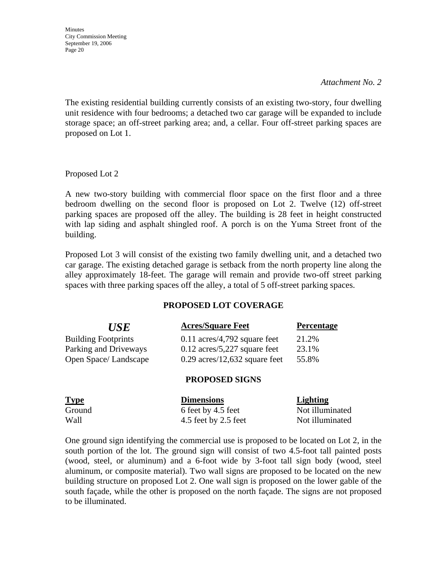#### *Attachment No. 2*

The existing residential building currently consists of an existing two-story, four dwelling unit residence with four bedrooms; a detached two car garage will be expanded to include storage space; an off-street parking area; and, a cellar. Four off-street parking spaces are proposed on Lot 1.

Proposed Lot 2

A new two-story building with commercial floor space on the first floor and a three bedroom dwelling on the second floor is proposed on Lot 2. Twelve (12) off-street parking spaces are proposed off the alley. The building is 28 feet in height constructed with lap siding and asphalt shingled roof. A porch is on the Yuma Street front of the building.

Proposed Lot 3 will consist of the existing two family dwelling unit, and a detached two car garage. The existing detached garage is setback from the north property line along the alley approximately 18-feet. The garage will remain and provide two-off street parking spaces with three parking spaces off the alley, a total of 5 off-street parking spaces.

#### **PROPOSED LOT COVERAGE**

| <i>USE</i>                 | <b>Acres/Square Feet</b>        | <b>Percentage</b> |
|----------------------------|---------------------------------|-------------------|
| <b>Building Footprints</b> | $0.11$ acres/4,792 square feet  | 21.2%             |
| Parking and Driveways      | $0.12$ acres/5,227 square feet  | 23.1%             |
| Open Space/Landscape       | $0.29$ acres/12,632 square feet | 55.8%             |

#### **PROPOSED SIGNS**

| <b>Type</b> | <b>Dimensions</b>    | <b>Lighting</b> |
|-------------|----------------------|-----------------|
| Ground      | 6 feet by 4.5 feet   | Not illuminated |
| Wall        | 4.5 feet by 2.5 feet | Not illuminated |

One ground sign identifying the commercial use is proposed to be located on Lot 2, in the south portion of the lot. The ground sign will consist of two 4.5-foot tall painted posts (wood, steel, or aluminum) and a 6-foot wide by 3-foot tall sign body (wood, steel aluminum, or composite material). Two wall signs are proposed to be located on the new building structure on proposed Lot 2. One wall sign is proposed on the lower gable of the south façade, while the other is proposed on the north façade. The signs are not proposed to be illuminated.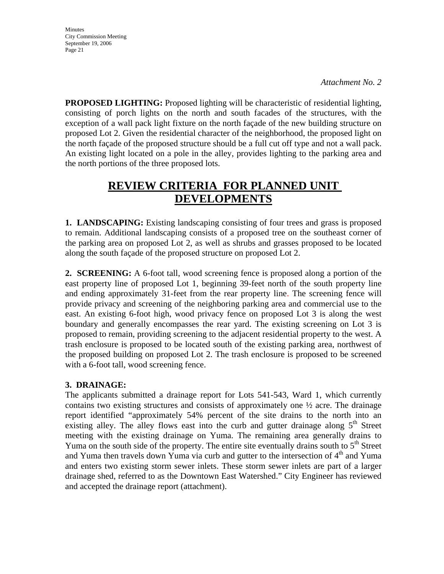**Minutes** City Commission Meeting September 19, 2006 Page 21

**PROPOSED LIGHTING:** Proposed lighting will be characteristic of residential lighting, consisting of porch lights on the north and south facades of the structures, with the exception of a wall pack light fixture on the north façade of the new building structure on proposed Lot 2. Given the residential character of the neighborhood, the proposed light on the north façade of the proposed structure should be a full cut off type and not a wall pack. An existing light located on a pole in the alley, provides lighting to the parking area and the north portions of the three proposed lots.

# **REVIEW CRITERIA FOR PLANNED UNIT DEVELOPMENTS**

**1. LANDSCAPING:** Existing landscaping consisting of four trees and grass is proposed to remain. Additional landscaping consists of a proposed tree on the southeast corner of the parking area on proposed Lot 2, as well as shrubs and grasses proposed to be located along the south façade of the proposed structure on proposed Lot 2.

**2. SCREENING:** A 6-foot tall, wood screening fence is proposed along a portion of the east property line of proposed Lot 1, beginning 39-feet north of the south property line and ending approximately 31-feet from the rear property line. The screening fence will provide privacy and screening of the neighboring parking area and commercial use to the east. An existing 6-foot high, wood privacy fence on proposed Lot 3 is along the west boundary and generally encompasses the rear yard. The existing screening on Lot 3 is proposed to remain, providing screening to the adjacent residential property to the west. A trash enclosure is proposed to be located south of the existing parking area, northwest of the proposed building on proposed Lot 2. The trash enclosure is proposed to be screened with a 6-foot tall, wood screening fence.

#### **3. DRAINAGE:**

The applicants submitted a drainage report for Lots 541-543, Ward 1, which currently contains two existing structures and consists of approximately one ½ acre. The drainage report identified "approximately 54% percent of the site drains to the north into an existing alley. The alley flows east into the curb and gutter drainage along  $5<sup>th</sup>$  Street meeting with the existing drainage on Yuma. The remaining area generally drains to Yuma on the south side of the property. The entire site eventually drains south to  $5<sup>th</sup>$  Street and Yuma then travels down Yuma via curb and gutter to the intersection of 4<sup>th</sup> and Yuma and enters two existing storm sewer inlets. These storm sewer inlets are part of a larger drainage shed, referred to as the Downtown East Watershed." City Engineer has reviewed and accepted the drainage report (attachment).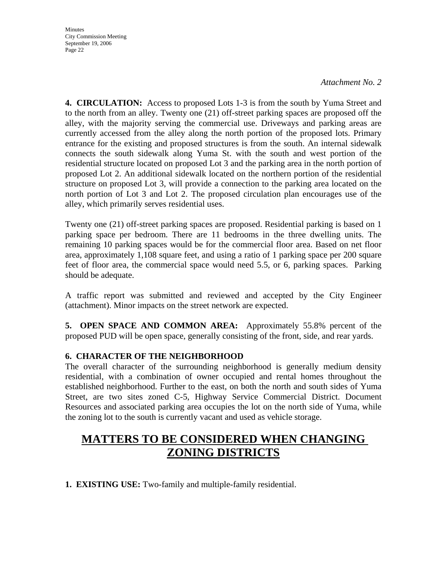*Attachment No. 2* 

**4. CIRCULATION:** Access to proposed Lots 1-3 is from the south by Yuma Street and to the north from an alley. Twenty one (21) off-street parking spaces are proposed off the alley, with the majority serving the commercial use. Driveways and parking areas are currently accessed from the alley along the north portion of the proposed lots. Primary entrance for the existing and proposed structures is from the south. An internal sidewalk connects the south sidewalk along Yuma St. with the south and west portion of the residential structure located on proposed Lot 3 and the parking area in the north portion of proposed Lot 2. An additional sidewalk located on the northern portion of the residential structure on proposed Lot 3, will provide a connection to the parking area located on the north portion of Lot 3 and Lot 2. The proposed circulation plan encourages use of the alley, which primarily serves residential uses.

Twenty one (21) off-street parking spaces are proposed. Residential parking is based on 1 parking space per bedroom. There are 11 bedrooms in the three dwelling units. The remaining 10 parking spaces would be for the commercial floor area. Based on net floor area, approximately 1,108 square feet, and using a ratio of 1 parking space per 200 square feet of floor area, the commercial space would need 5.5, or 6, parking spaces. Parking should be adequate.

A traffic report was submitted and reviewed and accepted by the City Engineer (attachment). Minor impacts on the street network are expected.

**5. OPEN SPACE AND COMMON AREA:** Approximately 55.8% percent of the proposed PUD will be open space, generally consisting of the front, side, and rear yards.

#### **6. CHARACTER OF THE NEIGHBORHOOD**

The overall character of the surrounding neighborhood is generally medium density residential, with a combination of owner occupied and rental homes throughout the established neighborhood. Further to the east, on both the north and south sides of Yuma Street, are two sites zoned C-5, Highway Service Commercial District. Document Resources and associated parking area occupies the lot on the north side of Yuma, while the zoning lot to the south is currently vacant and used as vehicle storage.

# **MATTERS TO BE CONSIDERED WHEN CHANGING ZONING DISTRICTS**

**1. EXISTING USE:** Two-family and multiple-family residential.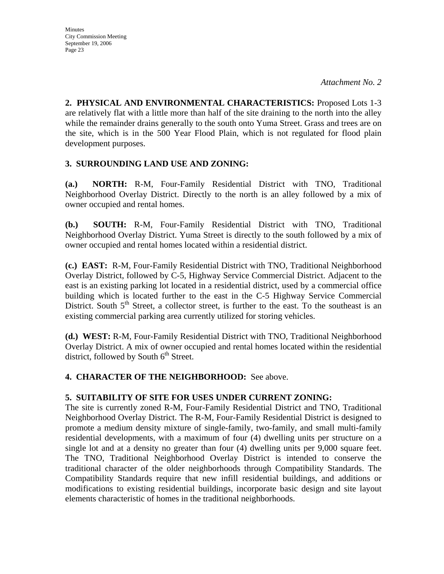**2. PHYSICAL AND ENVIRONMENTAL CHARACTERISTICS:** Proposed Lots 1-3 are relatively flat with a little more than half of the site draining to the north into the alley while the remainder drains generally to the south onto Yuma Street. Grass and trees are on the site, which is in the 500 Year Flood Plain, which is not regulated for flood plain development purposes.

#### **3. SURROUNDING LAND USE AND ZONING:**

**(a.) NORTH:** R-M, Four-Family Residential District with TNO, Traditional Neighborhood Overlay District. Directly to the north is an alley followed by a mix of owner occupied and rental homes.

**(b.) SOUTH:** R-M, Four-Family Residential District with TNO, Traditional Neighborhood Overlay District. Yuma Street is directly to the south followed by a mix of owner occupied and rental homes located within a residential district.

**(c.) EAST:** R-M, Four-Family Residential District with TNO, Traditional Neighborhood Overlay District, followed by C-5, Highway Service Commercial District. Adjacent to the east is an existing parking lot located in a residential district, used by a commercial office building which is located further to the east in the C-5 Highway Service Commercial District. South  $5<sup>th</sup>$  Street, a collector street, is further to the east. To the southeast is an existing commercial parking area currently utilized for storing vehicles.

**(d.) WEST:** R-M, Four-Family Residential District with TNO, Traditional Neighborhood Overlay District. A mix of owner occupied and rental homes located within the residential district, followed by South  $6<sup>th</sup>$  Street.

#### **4. CHARACTER OF THE NEIGHBORHOOD:** See above.

#### **5. SUITABILITY OF SITE FOR USES UNDER CURRENT ZONING:**

The site is currently zoned R-M, Four-Family Residential District and TNO, Traditional Neighborhood Overlay District. The R-M, Four-Family Residential District is designed to promote a medium density mixture of single-family, two-family, and small multi-family residential developments, with a maximum of four (4) dwelling units per structure on a single lot and at a density no greater than four (4) dwelling units per 9,000 square feet. The TNO, Traditional Neighborhood Overlay District is intended to conserve the traditional character of the older neighborhoods through Compatibility Standards. The Compatibility Standards require that new infill residential buildings, and additions or modifications to existing residential buildings, incorporate basic design and site layout elements characteristic of homes in the traditional neighborhoods.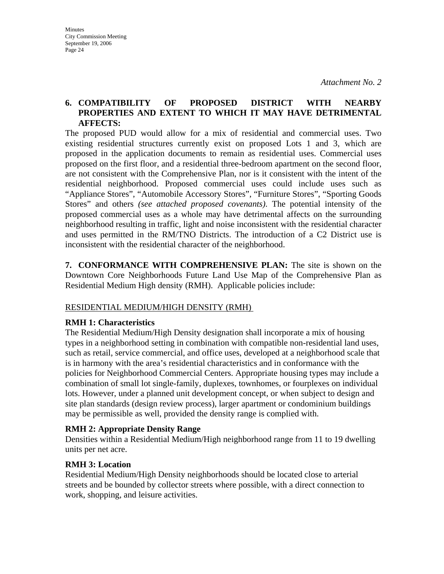#### **6. COMPATIBILITY OF PROPOSED DISTRICT WITH NEARBY PROPERTIES AND EXTENT TO WHICH IT MAY HAVE DETRIMENTAL AFFECTS:**

The proposed PUD would allow for a mix of residential and commercial uses. Two existing residential structures currently exist on proposed Lots 1 and 3, which are proposed in the application documents to remain as residential uses. Commercial uses proposed on the first floor, and a residential three-bedroom apartment on the second floor, are not consistent with the Comprehensive Plan, nor is it consistent with the intent of the residential neighborhood. Proposed commercial uses could include uses such as "Appliance Stores", "Automobile Accessory Stores", "Furniture Stores", "Sporting Goods Stores" and others *(see attached proposed covenants)*. The potential intensity of the proposed commercial uses as a whole may have detrimental affects on the surrounding neighborhood resulting in traffic, light and noise inconsistent with the residential character and uses permitted in the RM/TNO Districts. The introduction of a C2 District use is inconsistent with the residential character of the neighborhood.

**7. CONFORMANCE WITH COMPREHENSIVE PLAN:** The site is shown on the Downtown Core Neighborhoods Future Land Use Map of the Comprehensive Plan as Residential Medium High density (RMH). Applicable policies include:

#### RESIDENTIAL MEDIUM/HIGH DENSITY (RMH)

#### **RMH 1: Characteristics**

The Residential Medium/High Density designation shall incorporate a mix of housing types in a neighborhood setting in combination with compatible non-residential land uses, such as retail, service commercial, and office uses, developed at a neighborhood scale that is in harmony with the area's residential characteristics and in conformance with the policies for Neighborhood Commercial Centers. Appropriate housing types may include a combination of small lot single-family, duplexes, townhomes, or fourplexes on individual lots. However, under a planned unit development concept, or when subject to design and site plan standards (design review process), larger apartment or condominium buildings may be permissible as well, provided the density range is complied with.

#### **RMH 2: Appropriate Density Range**

Densities within a Residential Medium/High neighborhood range from 11 to 19 dwelling units per net acre.

#### **RMH 3: Location**

Residential Medium/High Density neighborhoods should be located close to arterial streets and be bounded by collector streets where possible, with a direct connection to work, shopping, and leisure activities.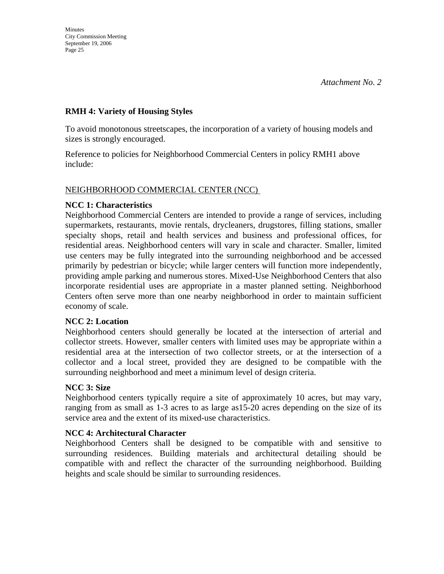#### **RMH 4: Variety of Housing Styles**

To avoid monotonous streetscapes, the incorporation of a variety of housing models and sizes is strongly encouraged.

Reference to policies for Neighborhood Commercial Centers in policy RMH1 above include:

#### NEIGHBORHOOD COMMERCIAL CENTER (NCC)

#### **NCC 1: Characteristics**

Neighborhood Commercial Centers are intended to provide a range of services, including supermarkets, restaurants, movie rentals, drycleaners, drugstores, filling stations, smaller specialty shops, retail and health services and business and professional offices, for residential areas. Neighborhood centers will vary in scale and character. Smaller, limited use centers may be fully integrated into the surrounding neighborhood and be accessed primarily by pedestrian or bicycle; while larger centers will function more independently, providing ample parking and numerous stores. Mixed-Use Neighborhood Centers that also incorporate residential uses are appropriate in a master planned setting. Neighborhood Centers often serve more than one nearby neighborhood in order to maintain sufficient economy of scale.

#### **NCC 2: Location**

Neighborhood centers should generally be located at the intersection of arterial and collector streets. However, smaller centers with limited uses may be appropriate within a residential area at the intersection of two collector streets, or at the intersection of a collector and a local street, provided they are designed to be compatible with the surrounding neighborhood and meet a minimum level of design criteria.

#### **NCC 3: Size**

Neighborhood centers typically require a site of approximately 10 acres, but may vary, ranging from as small as 1-3 acres to as large as15-20 acres depending on the size of its service area and the extent of its mixed-use characteristics.

#### **NCC 4: Architectural Character**

Neighborhood Centers shall be designed to be compatible with and sensitive to surrounding residences. Building materials and architectural detailing should be compatible with and reflect the character of the surrounding neighborhood. Building heights and scale should be similar to surrounding residences.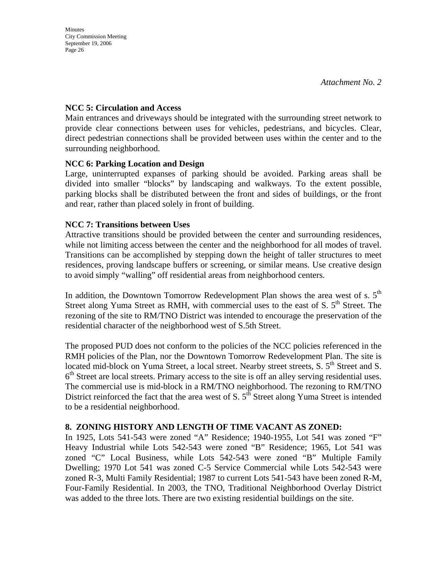#### **NCC 5: Circulation and Access**

Main entrances and driveways should be integrated with the surrounding street network to provide clear connections between uses for vehicles, pedestrians, and bicycles. Clear, direct pedestrian connections shall be provided between uses within the center and to the surrounding neighborhood.

#### **NCC 6: Parking Location and Design**

Large, uninterrupted expanses of parking should be avoided. Parking areas shall be divided into smaller "blocks" by landscaping and walkways. To the extent possible, parking blocks shall be distributed between the front and sides of buildings, or the front and rear, rather than placed solely in front of building.

#### **NCC 7: Transitions between Uses**

Attractive transitions should be provided between the center and surrounding residences, while not limiting access between the center and the neighborhood for all modes of travel. Transitions can be accomplished by stepping down the height of taller structures to meet residences, proving landscape buffers or screening, or similar means. Use creative design to avoid simply "walling" off residential areas from neighborhood centers.

In addition, the Downtown Tomorrow Redevelopment Plan shows the area west of s.  $5<sup>th</sup>$ Street along Yuma Street as RMH, with commercial uses to the east of S.  $5<sup>th</sup>$  Street. The rezoning of the site to RM/TNO District was intended to encourage the preservation of the residential character of the neighborhood west of S.5th Street.

The proposed PUD does not conform to the policies of the NCC policies referenced in the RMH policies of the Plan, nor the Downtown Tomorrow Redevelopment Plan. The site is located mid-block on Yuma Street, a local street. Nearby street streets, S. 5<sup>th</sup> Street and S.  $6<sup>th</sup>$  Street are local streets. Primary access to the site is off an alley serving residential uses. The commercial use is mid-block in a RM/TNO neighborhood. The rezoning to RM/TNO District reinforced the fact that the area west of S.  $5<sup>th</sup>$  Street along Yuma Street is intended to be a residential neighborhood.

#### **8. ZONING HISTORY AND LENGTH OF TIME VACANT AS ZONED:**

In 1925, Lots 541-543 were zoned "A" Residence; 1940-1955, Lot 541 was zoned "F" Heavy Industrial while Lots 542-543 were zoned "B" Residence; 1965, Lot 541 was zoned "C" Local Business, while Lots 542-543 were zoned "B" Multiple Family Dwelling; 1970 Lot 541 was zoned C-5 Service Commercial while Lots 542-543 were zoned R-3, Multi Family Residential; 1987 to current Lots 541-543 have been zoned R-M, Four-Family Residential. In 2003, the TNO, Traditional Neighborhood Overlay District was added to the three lots. There are two existing residential buildings on the site.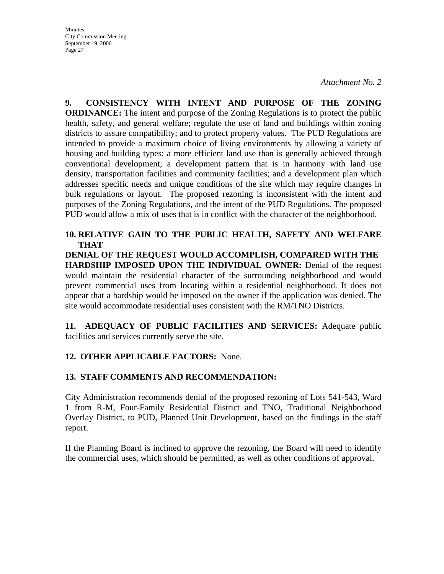*Attachment No. 2* 

**9. CONSISTENCY WITH INTENT AND PURPOSE OF THE ZONING ORDINANCE:** The intent and purpose of the Zoning Regulations is to protect the public health, safety, and general welfare; regulate the use of land and buildings within zoning districts to assure compatibility; and to protect property values. The PUD Regulations are intended to provide a maximum choice of living environments by allowing a variety of housing and building types; a more efficient land use than is generally achieved through conventional development; a development pattern that is in harmony with land use density, transportation facilities and community facilities; and a development plan which addresses specific needs and unique conditions of the site which may require changes in bulk regulations or layout. The proposed rezoning is inconsistent with the intent and purposes of the Zoning Regulations, and the intent of the PUD Regulations. The proposed PUD would allow a mix of uses that is in conflict with the character of the neighborhood.

**10. RELATIVE GAIN TO THE PUBLIC HEALTH, SAFETY AND WELFARE THAT** 

**DENIAL OF THE REQUEST WOULD ACCOMPLISH, COMPARED WITH THE HARDSHIP IMPOSED UPON THE INDIVIDUAL OWNER:** Denial of the request would maintain the residential character of the surrounding neighborhood and would prevent commercial uses from locating within a residential neighborhood. It does not appear that a hardship would be imposed on the owner if the application was denied. The site would accommodate residential uses consistent with the RM/TNO Districts.

**11. ADEQUACY OF PUBLIC FACILITIES AND SERVICES:** Adequate public facilities and services currently serve the site.

#### **12. OTHER APPLICABLE FACTORS:** None.

#### **13. STAFF COMMENTS AND RECOMMENDATION:**

City Administration recommends denial of the proposed rezoning of Lots 541-543, Ward 1 from R-M, Four-Family Residential District and TNO, Traditional Neighborhood Overlay District, to PUD, Planned Unit Development, based on the findings in the staff report.

If the Planning Board is inclined to approve the rezoning, the Board will need to identify the commercial uses, which should be permitted, as well as other conditions of approval.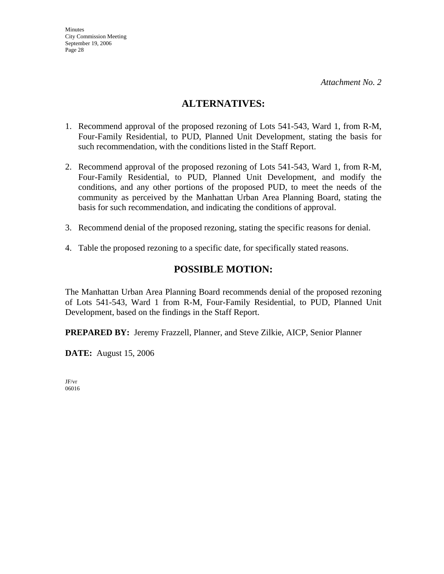### **ALTERNATIVES:**

- 1. Recommend approval of the proposed rezoning of Lots 541-543, Ward 1, from R-M, Four-Family Residential, to PUD, Planned Unit Development, stating the basis for such recommendation, with the conditions listed in the Staff Report.
- 2. Recommend approval of the proposed rezoning of Lots 541-543, Ward 1, from R-M, Four-Family Residential, to PUD, Planned Unit Development, and modify the conditions, and any other portions of the proposed PUD, to meet the needs of the community as perceived by the Manhattan Urban Area Planning Board, stating the basis for such recommendation, and indicating the conditions of approval.
- 3. Recommend denial of the proposed rezoning, stating the specific reasons for denial.
- 4. Table the proposed rezoning to a specific date, for specifically stated reasons.

### **POSSIBLE MOTION:**

The Manhattan Urban Area Planning Board recommends denial of the proposed rezoning of Lots 541-543, Ward 1 from R-M, Four-Family Residential, to PUD, Planned Unit Development, based on the findings in the Staff Report.

**PREPARED BY:** Jeremy Frazzell, Planner, and Steve Zilkie, AICP, Senior Planner

**DATE:** August 15, 2006

JF/vr 06016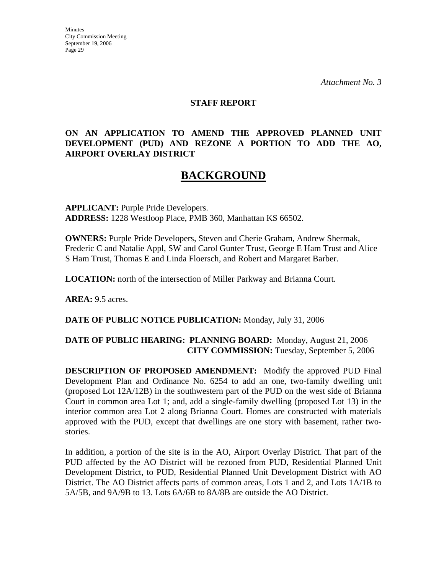*Attachment No. 3* 

#### **STAFF REPORT**

#### **ON AN APPLICATION TO AMEND THE APPROVED PLANNED UNIT DEVELOPMENT (PUD) AND REZONE A PORTION TO ADD THE AO, AIRPORT OVERLAY DISTRICT**

# **BACKGROUND**

**APPLICANT:** Purple Pride Developers. **ADDRESS:** 1228 Westloop Place, PMB 360, Manhattan KS 66502.

**OWNERS:** Purple Pride Developers, Steven and Cherie Graham, Andrew Shermak, Frederic C and Natalie Appl, SW and Carol Gunter Trust, George E Ham Trust and Alice S Ham Trust, Thomas E and Linda Floersch, and Robert and Margaret Barber.

**LOCATION:** north of the intersection of Miller Parkway and Brianna Court.

**AREA:** 9.5 acres.

#### **DATE OF PUBLIC NOTICE PUBLICATION:** Monday, July 31, 2006

#### **DATE OF PUBLIC HEARING: PLANNING BOARD:** Monday, August 21, 2006 **CITY COMMISSION:** Tuesday, September 5, 2006

**DESCRIPTION OF PROPOSED AMENDMENT:** Modify the approved PUD Final Development Plan and Ordinance No. 6254 to add an one, two-family dwelling unit (proposed Lot 12A/12B) in the southwestern part of the PUD on the west side of Brianna Court in common area Lot 1; and, add a single-family dwelling (proposed Lot 13) in the interior common area Lot 2 along Brianna Court. Homes are constructed with materials approved with the PUD, except that dwellings are one story with basement, rather twostories.

In addition, a portion of the site is in the AO, Airport Overlay District. That part of the PUD affected by the AO District will be rezoned from PUD, Residential Planned Unit Development District, to PUD, Residential Planned Unit Development District with AO District. The AO District affects parts of common areas, Lots 1 and 2, and Lots 1A/1B to 5A/5B, and 9A/9B to 13. Lots 6A/6B to 8A/8B are outside the AO District.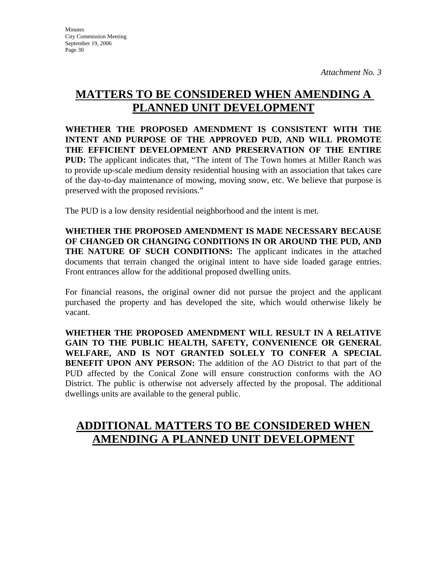# **MATTERS TO BE CONSIDERED WHEN AMENDING A PLANNED UNIT DEVELOPMENT**

**WHETHER THE PROPOSED AMENDMENT IS CONSISTENT WITH THE INTENT AND PURPOSE OF THE APPROVED PUD, AND WILL PROMOTE THE EFFICIENT DEVELOPMENT AND PRESERVATION OF THE ENTIRE PUD:** The applicant indicates that, "The intent of The Town homes at Miller Ranch was to provide up-scale medium density residential housing with an association that takes care of the day-to-day maintenance of mowing, moving snow, etc. We believe that purpose is preserved with the proposed revisions."

The PUD is a low density residential neighborhood and the intent is met.

**WHETHER THE PROPOSED AMENDMENT IS MADE NECESSARY BECAUSE OF CHANGED OR CHANGING CONDITIONS IN OR AROUND THE PUD, AND THE NATURE OF SUCH CONDITIONS:** The applicant indicates in the attached documents that terrain changed the original intent to have side loaded garage entries. Front entrances allow for the additional proposed dwelling units.

For financial reasons, the original owner did not pursue the project and the applicant purchased the property and has developed the site, which would otherwise likely be vacant.

**WHETHER THE PROPOSED AMENDMENT WILL RESULT IN A RELATIVE GAIN TO THE PUBLIC HEALTH, SAFETY, CONVENIENCE OR GENERAL WELFARE, AND IS NOT GRANTED SOLELY TO CONFER A SPECIAL BENEFIT UPON ANY PERSON:** The addition of the AO District to that part of the PUD affected by the Conical Zone will ensure construction conforms with the AO District. The public is otherwise not adversely affected by the proposal. The additional dwellings units are available to the general public.

# **ADDITIONAL MATTERS TO BE CONSIDERED WHEN AMENDING A PLANNED UNIT DEVELOPMENT**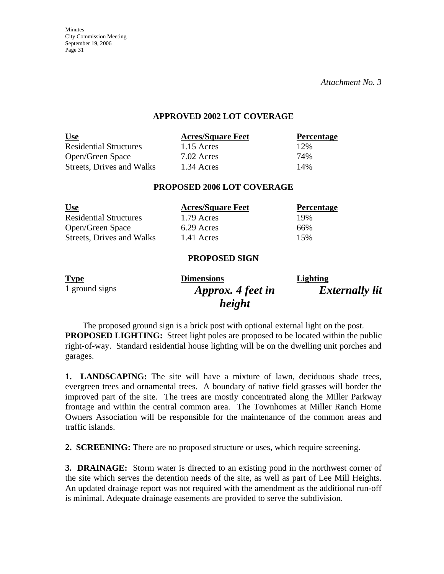*Attachment No. 3* 

#### **APPROVED 2002 LOT COVERAGE**

| <u>Use</u>                    | <b>Acres/Square Feet</b> | <b>Percentage</b> |
|-------------------------------|--------------------------|-------------------|
| <b>Residential Structures</b> | $1.15$ Acres             | 12%               |
| Open/Green Space              | 7.02 Acres               | 74%               |
| Streets, Drives and Walks     | 1.34 Acres               | 14%               |

#### **PROPOSED 2006 LOT COVERAGE**

| <u>Use</u>                    | <b>Acres/Square Feet</b> | <b>Percentage</b> |
|-------------------------------|--------------------------|-------------------|
| <b>Residential Structures</b> | 1.79 Acres               | 19%               |
| Open/Green Space              | 6.29 Acres               | 66%               |
| Streets, Drives and Walks     | 1.41 Acres               | 15%               |

#### **PROPOSED SIGN**

| <b>Type</b>    | <b>Dimensions</b> | Lighting              |
|----------------|-------------------|-----------------------|
| 1 ground signs | Approx. 4 feet in | <b>Externally lit</b> |
|                | height            |                       |

The proposed ground sign is a brick post with optional external light on the post. **PROPOSED LIGHTING:** Street light poles are proposed to be located within the public right-of-way. Standard residential house lighting will be on the dwelling unit porches and garages.

**1. LANDSCAPING:** The site will have a mixture of lawn, deciduous shade trees, evergreen trees and ornamental trees. A boundary of native field grasses will border the improved part of the site. The trees are mostly concentrated along the Miller Parkway frontage and within the central common area. The Townhomes at Miller Ranch Home Owners Association will be responsible for the maintenance of the common areas and traffic islands.

**2. SCREENING:** There are no proposed structure or uses, which require screening.

**3. DRAINAGE:** Storm water is directed to an existing pond in the northwest corner of the site which serves the detention needs of the site, as well as part of Lee Mill Heights. An updated drainage report was not required with the amendment as the additional run-off is minimal. Adequate drainage easements are provided to serve the subdivision.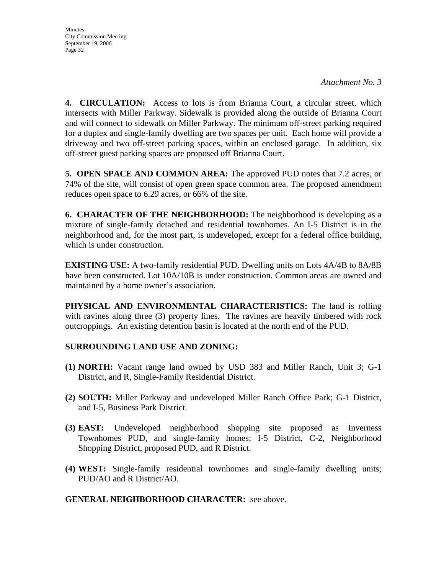**Minutes** City Commission Meeting September 19, 2006 Page 32

**4. CIRCULATION:** Access to lots is from Brianna Court, a circular street, which intersects with Miller Parkway. Sidewalk is provided along the outside of Brianna Court and will connect to sidewalk on Miller Parkway. The minimum off-street parking required for a duplex and single-family dwelling are two spaces per unit. Each home will provide a driveway and two off-street parking spaces, within an enclosed garage. In addition, six off-street guest parking spaces are proposed off Brianna Court.

**5. OPEN SPACE AND COMMON AREA:** The approved PUD notes that 7.2 acres, or 74% of the site, will consist of open green space common area. The proposed amendment reduces open space to 6.29 acres, or 66% of the site.

**6. CHARACTER OF THE NEIGHBORHOOD:** The neighborhood is developing as a mixture of single-family detached and residential townhomes. An I-5 District is in the neighborhood and, for the most part, is undeveloped, except for a federal office building, which is under construction.

**EXISTING USE:** A two-family residential PUD. Dwelling units on Lots 4A/4B to 8A/8B have been constructed. Lot 10A/10B is under construction. Common areas are owned and maintained by a home owner's association.

**PHYSICAL AND ENVIRONMENTAL CHARACTERISTICS:** The land is rolling with ravines along three (3) property lines. The ravines are heavily timbered with rock outcroppings. An existing detention basin is located at the north end of the PUD.

#### **SURROUNDING LAND USE AND ZONING:**

- **(1) NORTH:** Vacant range land owned by USD 383 and Miller Ranch, Unit 3; G-1 District, and R, Single-Family Residential District.
- **(2) SOUTH:** Miller Parkway and undeveloped Miller Ranch Office Park; G-1 District, and I-5, Business Park District.
- **(3) EAST:** Undeveloped neighborhood shopping site proposed as Inverness Townhomes PUD, and single-family homes; I-5 District, C-2, Neighborhood Shopping District, proposed PUD, and R District.
- **(4) WEST:** Single-family residential townhomes and single-family dwelling units; PUD/AO and R District/AO.

#### **GENERAL NEIGHBORHOOD CHARACTER:** see above.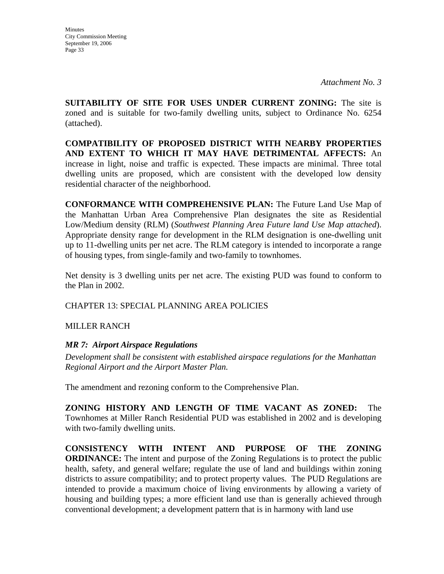**SUITABILITY OF SITE FOR USES UNDER CURRENT ZONING:** The site is zoned and is suitable for two-family dwelling units, subject to Ordinance No. 6254 (attached).

**COMPATIBILITY OF PROPOSED DISTRICT WITH NEARBY PROPERTIES AND EXTENT TO WHICH IT MAY HAVE DETRIMENTAL AFFECTS:** An increase in light, noise and traffic is expected. These impacts are minimal. Three total dwelling units are proposed, which are consistent with the developed low density residential character of the neighborhood.

**CONFORMANCE WITH COMPREHENSIVE PLAN:** The Future Land Use Map of the Manhattan Urban Area Comprehensive Plan designates the site as Residential Low/Medium density (RLM) (*Southwest Planning Area Future land Use Map attached*). Appropriate density range for development in the RLM designation is one-dwelling unit up to 11-dwelling units per net acre. The RLM category is intended to incorporate a range of housing types, from single-family and two-family to townhomes.

Net density is 3 dwelling units per net acre. The existing PUD was found to conform to the Plan in 2002.

CHAPTER 13: SPECIAL PLANNING AREA POLICIES

MILLER RANCH

#### *MR 7: Airport Airspace Regulations*

*Development shall be consistent with established airspace regulations for the Manhattan Regional Airport and the Airport Master Plan.* 

The amendment and rezoning conform to the Comprehensive Plan.

**ZONING HISTORY AND LENGTH OF TIME VACANT AS ZONED:** The Townhomes at Miller Ranch Residential PUD was established in 2002 and is developing with two-family dwelling units.

**CONSISTENCY WITH INTENT AND PURPOSE OF THE ZONING ORDINANCE:** The intent and purpose of the Zoning Regulations is to protect the public health, safety, and general welfare; regulate the use of land and buildings within zoning districts to assure compatibility; and to protect property values. The PUD Regulations are intended to provide a maximum choice of living environments by allowing a variety of housing and building types; a more efficient land use than is generally achieved through conventional development; a development pattern that is in harmony with land use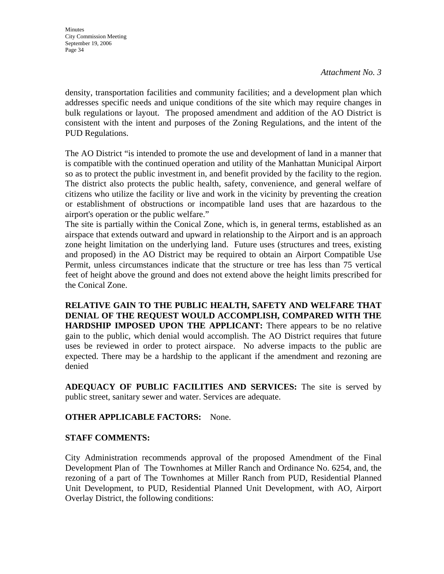*Attachment No. 3* 

density, transportation facilities and community facilities; and a development plan which addresses specific needs and unique conditions of the site which may require changes in bulk regulations or layout. The proposed amendment and addition of the AO District is consistent with the intent and purposes of the Zoning Regulations, and the intent of the PUD Regulations.

The AO District "is intended to promote the use and development of land in a manner that is compatible with the continued operation and utility of the Manhattan Municipal Airport so as to protect the public investment in, and benefit provided by the facility to the region. The district also protects the public health, safety, convenience, and general welfare of citizens who utilize the facility or live and work in the vicinity by preventing the creation or establishment of obstructions or incompatible land uses that are hazardous to the airport's operation or the public welfare."

The site is partially within the Conical Zone, which is, in general terms, established as an airspace that extends outward and upward in relationship to the Airport and is an approach zone height limitation on the underlying land. Future uses (structures and trees, existing and proposed) in the AO District may be required to obtain an Airport Compatible Use Permit, unless circumstances indicate that the structure or tree has less than 75 vertical feet of height above the ground and does not extend above the height limits prescribed for the Conical Zone.

**RELATIVE GAIN TO THE PUBLIC HEALTH, SAFETY AND WELFARE THAT DENIAL OF THE REQUEST WOULD ACCOMPLISH, COMPARED WITH THE HARDSHIP IMPOSED UPON THE APPLICANT:** There appears to be no relative gain to the public, which denial would accomplish. The AO District requires that future uses be reviewed in order to protect airspace. No adverse impacts to the public are expected. There may be a hardship to the applicant if the amendment and rezoning are denied

**ADEQUACY OF PUBLIC FACILITIES AND SERVICES:** The site is served by public street, sanitary sewer and water. Services are adequate.

#### **OTHER APPLICABLE FACTORS:** None.

#### **STAFF COMMENTS:**

City Administration recommends approval of the proposed Amendment of the Final Development Plan of The Townhomes at Miller Ranch and Ordinance No. 6254, and, the rezoning of a part of The Townhomes at Miller Ranch from PUD, Residential Planned Unit Development, to PUD, Residential Planned Unit Development, with AO, Airport Overlay District, the following conditions: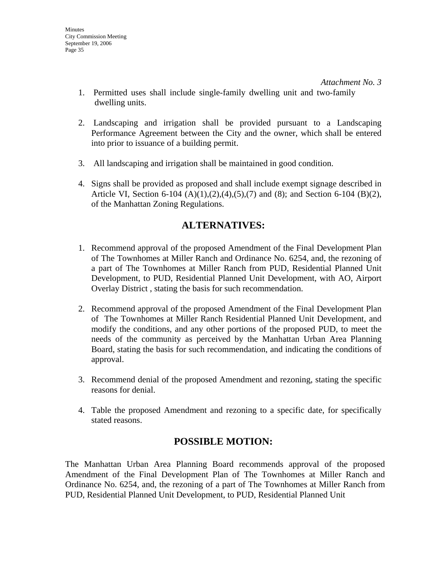- 1. Permitted uses shall include single-family dwelling unit and two-family dwelling units.
- 2. Landscaping and irrigation shall be provided pursuant to a Landscaping Performance Agreement between the City and the owner, which shall be entered into prior to issuance of a building permit.
- 3. All landscaping and irrigation shall be maintained in good condition.
- 4. Signs shall be provided as proposed and shall include exempt signage described in Article VI, Section 6-104 (A)(1),(2),(4),(5),(7) and (8); and Section 6-104 (B)(2), of the Manhattan Zoning Regulations.

### **ALTERNATIVES:**

- 1. Recommend approval of the proposed Amendment of the Final Development Plan of The Townhomes at Miller Ranch and Ordinance No. 6254, and, the rezoning of a part of The Townhomes at Miller Ranch from PUD, Residential Planned Unit Development, to PUD, Residential Planned Unit Development, with AO, Airport Overlay District , stating the basis for such recommendation.
- 2. Recommend approval of the proposed Amendment of the Final Development Plan of The Townhomes at Miller Ranch Residential Planned Unit Development, and modify the conditions, and any other portions of the proposed PUD, to meet the needs of the community as perceived by the Manhattan Urban Area Planning Board, stating the basis for such recommendation, and indicating the conditions of approval.
- 3. Recommend denial of the proposed Amendment and rezoning, stating the specific reasons for denial.
- 4. Table the proposed Amendment and rezoning to a specific date, for specifically stated reasons.

### **POSSIBLE MOTION:**

The Manhattan Urban Area Planning Board recommends approval of the proposed Amendment of the Final Development Plan of The Townhomes at Miller Ranch and Ordinance No. 6254, and, the rezoning of a part of The Townhomes at Miller Ranch from PUD, Residential Planned Unit Development, to PUD, Residential Planned Unit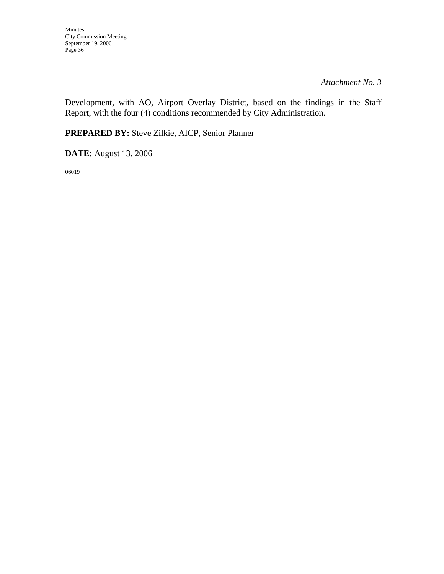*Attachment No. 3* 

Development, with AO, Airport Overlay District, based on the findings in the Staff Report, with the four (4) conditions recommended by City Administration.

**PREPARED BY:** Steve Zilkie, AICP, Senior Planner

**DATE:** August 13. 2006

06019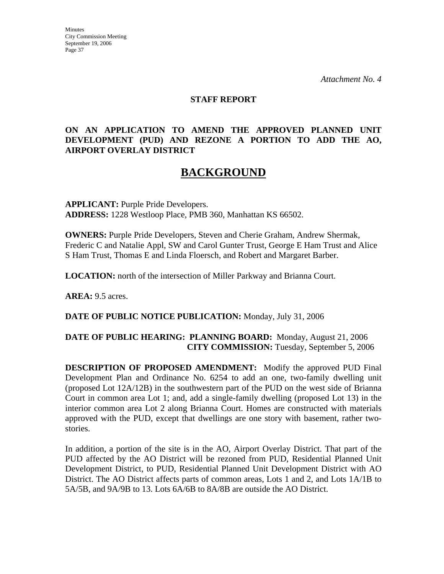#### **STAFF REPORT**

#### **ON AN APPLICATION TO AMEND THE APPROVED PLANNED UNIT DEVELOPMENT (PUD) AND REZONE A PORTION TO ADD THE AO, AIRPORT OVERLAY DISTRICT**

# **BACKGROUND**

**APPLICANT:** Purple Pride Developers. **ADDRESS:** 1228 Westloop Place, PMB 360, Manhattan KS 66502.

**OWNERS:** Purple Pride Developers, Steven and Cherie Graham, Andrew Shermak, Frederic C and Natalie Appl, SW and Carol Gunter Trust, George E Ham Trust and Alice S Ham Trust, Thomas E and Linda Floersch, and Robert and Margaret Barber.

**LOCATION:** north of the intersection of Miller Parkway and Brianna Court.

**AREA:** 9.5 acres.

#### **DATE OF PUBLIC NOTICE PUBLICATION:** Monday, July 31, 2006

#### **DATE OF PUBLIC HEARING: PLANNING BOARD:** Monday, August 21, 2006 **CITY COMMISSION:** Tuesday, September 5, 2006

**DESCRIPTION OF PROPOSED AMENDMENT:** Modify the approved PUD Final Development Plan and Ordinance No. 6254 to add an one, two-family dwelling unit (proposed Lot 12A/12B) in the southwestern part of the PUD on the west side of Brianna Court in common area Lot 1; and, add a single-family dwelling (proposed Lot 13) in the interior common area Lot 2 along Brianna Court. Homes are constructed with materials approved with the PUD, except that dwellings are one story with basement, rather twostories.

In addition, a portion of the site is in the AO, Airport Overlay District. That part of the PUD affected by the AO District will be rezoned from PUD, Residential Planned Unit Development District, to PUD, Residential Planned Unit Development District with AO District. The AO District affects parts of common areas, Lots 1 and 2, and Lots 1A/1B to 5A/5B, and 9A/9B to 13. Lots 6A/6B to 8A/8B are outside the AO District.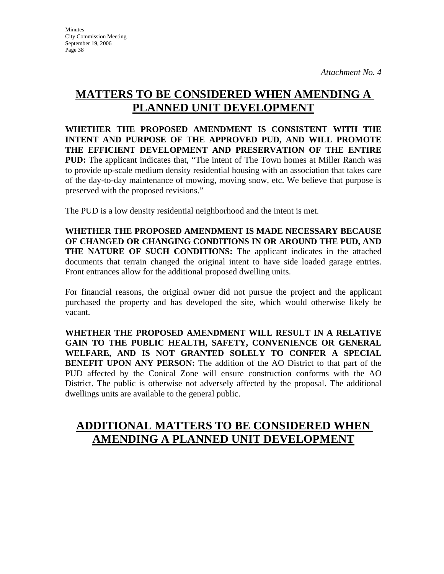# **MATTERS TO BE CONSIDERED WHEN AMENDING A PLANNED UNIT DEVELOPMENT**

**WHETHER THE PROPOSED AMENDMENT IS CONSISTENT WITH THE INTENT AND PURPOSE OF THE APPROVED PUD, AND WILL PROMOTE THE EFFICIENT DEVELOPMENT AND PRESERVATION OF THE ENTIRE PUD:** The applicant indicates that, "The intent of The Town homes at Miller Ranch was to provide up-scale medium density residential housing with an association that takes care of the day-to-day maintenance of mowing, moving snow, etc. We believe that purpose is preserved with the proposed revisions."

The PUD is a low density residential neighborhood and the intent is met.

**WHETHER THE PROPOSED AMENDMENT IS MADE NECESSARY BECAUSE OF CHANGED OR CHANGING CONDITIONS IN OR AROUND THE PUD, AND THE NATURE OF SUCH CONDITIONS:** The applicant indicates in the attached documents that terrain changed the original intent to have side loaded garage entries. Front entrances allow for the additional proposed dwelling units.

For financial reasons, the original owner did not pursue the project and the applicant purchased the property and has developed the site, which would otherwise likely be vacant.

**WHETHER THE PROPOSED AMENDMENT WILL RESULT IN A RELATIVE GAIN TO THE PUBLIC HEALTH, SAFETY, CONVENIENCE OR GENERAL WELFARE, AND IS NOT GRANTED SOLELY TO CONFER A SPECIAL BENEFIT UPON ANY PERSON:** The addition of the AO District to that part of the PUD affected by the Conical Zone will ensure construction conforms with the AO District. The public is otherwise not adversely affected by the proposal. The additional dwellings units are available to the general public.

# **ADDITIONAL MATTERS TO BE CONSIDERED WHEN AMENDING A PLANNED UNIT DEVELOPMENT**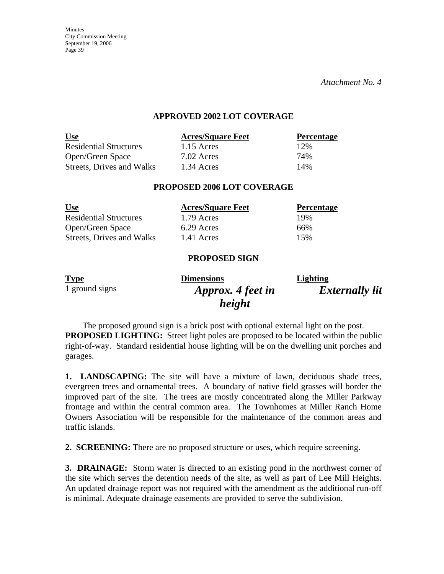*Attachment No. 4* 

#### **APPROVED 2002 LOT COVERAGE**

| <u>Use</u>                    | <b>Acres/Square Feet</b> | <b>Percentage</b> |
|-------------------------------|--------------------------|-------------------|
| <b>Residential Structures</b> | $1.15$ Acres             | 12%               |
| Open/Green Space              | $7.02$ Acres             | 74%               |
| Streets, Drives and Walks     | 1.34 Acres               | 14%               |

#### **PROPOSED 2006 LOT COVERAGE**

| <u>Use</u>                    | <b>Acres/Square Feet</b> | <b>Percentage</b> |
|-------------------------------|--------------------------|-------------------|
| <b>Residential Structures</b> | 1.79 Acres               | 19%               |
| Open/Green Space              | 6.29 Acres               | 66%               |
| Streets, Drives and Walks     | 1.41 Acres               | 15%               |

#### **PROPOSED SIGN**

| <b>Type</b>    | <b>Dimensions</b> | Lighting              |
|----------------|-------------------|-----------------------|
| 1 ground signs | Approx. 4 feet in | <b>Externally lit</b> |
|                | height            |                       |

The proposed ground sign is a brick post with optional external light on the post. **PROPOSED LIGHTING:** Street light poles are proposed to be located within the public right-of-way. Standard residential house lighting will be on the dwelling unit porches and garages.

**1. LANDSCAPING:** The site will have a mixture of lawn, deciduous shade trees, evergreen trees and ornamental trees. A boundary of native field grasses will border the improved part of the site. The trees are mostly concentrated along the Miller Parkway frontage and within the central common area. The Townhomes at Miller Ranch Home Owners Association will be responsible for the maintenance of the common areas and traffic islands.

**2. SCREENING:** There are no proposed structure or uses, which require screening.

**3. DRAINAGE:** Storm water is directed to an existing pond in the northwest corner of the site which serves the detention needs of the site, as well as part of Lee Mill Heights. An updated drainage report was not required with the amendment as the additional run-off is minimal. Adequate drainage easements are provided to serve the subdivision.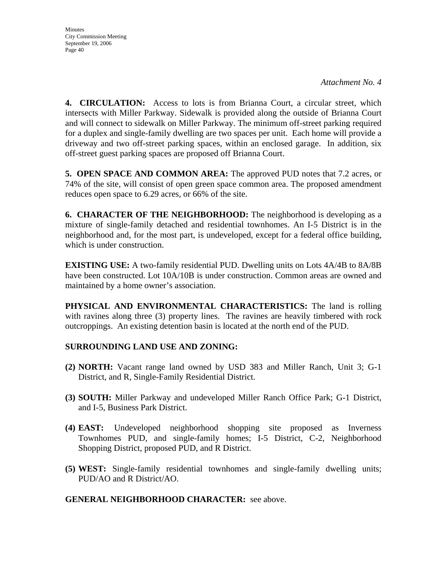**Minutes** City Commission Meeting September 19, 2006 Page 40

**4. CIRCULATION:** Access to lots is from Brianna Court, a circular street, which intersects with Miller Parkway. Sidewalk is provided along the outside of Brianna Court and will connect to sidewalk on Miller Parkway. The minimum off-street parking required for a duplex and single-family dwelling are two spaces per unit. Each home will provide a driveway and two off-street parking spaces, within an enclosed garage. In addition, six off-street guest parking spaces are proposed off Brianna Court.

**5. OPEN SPACE AND COMMON AREA:** The approved PUD notes that 7.2 acres, or 74% of the site, will consist of open green space common area. The proposed amendment reduces open space to 6.29 acres, or 66% of the site.

**6. CHARACTER OF THE NEIGHBORHOOD:** The neighborhood is developing as a mixture of single-family detached and residential townhomes. An I-5 District is in the neighborhood and, for the most part, is undeveloped, except for a federal office building, which is under construction.

**EXISTING USE:** A two-family residential PUD. Dwelling units on Lots 4A/4B to 8A/8B have been constructed. Lot 10A/10B is under construction. Common areas are owned and maintained by a home owner's association.

**PHYSICAL AND ENVIRONMENTAL CHARACTERISTICS:** The land is rolling with ravines along three (3) property lines. The ravines are heavily timbered with rock outcroppings. An existing detention basin is located at the north end of the PUD.

#### **SURROUNDING LAND USE AND ZONING:**

- **(2) NORTH:** Vacant range land owned by USD 383 and Miller Ranch, Unit 3; G-1 District, and R, Single-Family Residential District.
- **(3) SOUTH:** Miller Parkway and undeveloped Miller Ranch Office Park; G-1 District, and I-5, Business Park District.
- **(4) EAST:** Undeveloped neighborhood shopping site proposed as Inverness Townhomes PUD, and single-family homes; I-5 District, C-2, Neighborhood Shopping District, proposed PUD, and R District.
- **(5) WEST:** Single-family residential townhomes and single-family dwelling units; PUD/AO and R District/AO.

#### **GENERAL NEIGHBORHOOD CHARACTER:** see above.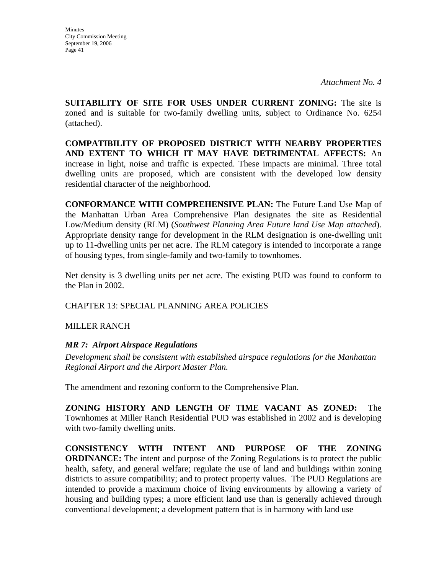**SUITABILITY OF SITE FOR USES UNDER CURRENT ZONING:** The site is zoned and is suitable for two-family dwelling units, subject to Ordinance No. 6254 (attached).

**COMPATIBILITY OF PROPOSED DISTRICT WITH NEARBY PROPERTIES AND EXTENT TO WHICH IT MAY HAVE DETRIMENTAL AFFECTS:** An increase in light, noise and traffic is expected. These impacts are minimal. Three total dwelling units are proposed, which are consistent with the developed low density residential character of the neighborhood.

**CONFORMANCE WITH COMPREHENSIVE PLAN:** The Future Land Use Map of the Manhattan Urban Area Comprehensive Plan designates the site as Residential Low/Medium density (RLM) (*Southwest Planning Area Future land Use Map attached*). Appropriate density range for development in the RLM designation is one-dwelling unit up to 11-dwelling units per net acre. The RLM category is intended to incorporate a range of housing types, from single-family and two-family to townhomes.

Net density is 3 dwelling units per net acre. The existing PUD was found to conform to the Plan in 2002.

CHAPTER 13: SPECIAL PLANNING AREA POLICIES

MILLER RANCH

#### *MR 7: Airport Airspace Regulations*

*Development shall be consistent with established airspace regulations for the Manhattan Regional Airport and the Airport Master Plan.* 

The amendment and rezoning conform to the Comprehensive Plan.

**ZONING HISTORY AND LENGTH OF TIME VACANT AS ZONED:** The Townhomes at Miller Ranch Residential PUD was established in 2002 and is developing with two-family dwelling units.

**CONSISTENCY WITH INTENT AND PURPOSE OF THE ZONING ORDINANCE:** The intent and purpose of the Zoning Regulations is to protect the public health, safety, and general welfare; regulate the use of land and buildings within zoning districts to assure compatibility; and to protect property values. The PUD Regulations are intended to provide a maximum choice of living environments by allowing a variety of housing and building types; a more efficient land use than is generally achieved through conventional development; a development pattern that is in harmony with land use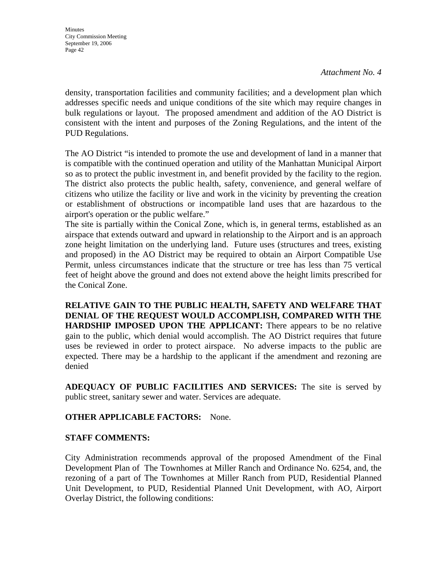*Attachment No. 4* 

density, transportation facilities and community facilities; and a development plan which addresses specific needs and unique conditions of the site which may require changes in bulk regulations or layout. The proposed amendment and addition of the AO District is consistent with the intent and purposes of the Zoning Regulations, and the intent of the PUD Regulations.

The AO District "is intended to promote the use and development of land in a manner that is compatible with the continued operation and utility of the Manhattan Municipal Airport so as to protect the public investment in, and benefit provided by the facility to the region. The district also protects the public health, safety, convenience, and general welfare of citizens who utilize the facility or live and work in the vicinity by preventing the creation or establishment of obstructions or incompatible land uses that are hazardous to the airport's operation or the public welfare."

The site is partially within the Conical Zone, which is, in general terms, established as an airspace that extends outward and upward in relationship to the Airport and is an approach zone height limitation on the underlying land. Future uses (structures and trees, existing and proposed) in the AO District may be required to obtain an Airport Compatible Use Permit, unless circumstances indicate that the structure or tree has less than 75 vertical feet of height above the ground and does not extend above the height limits prescribed for the Conical Zone.

**RELATIVE GAIN TO THE PUBLIC HEALTH, SAFETY AND WELFARE THAT DENIAL OF THE REQUEST WOULD ACCOMPLISH, COMPARED WITH THE HARDSHIP IMPOSED UPON THE APPLICANT:** There appears to be no relative gain to the public, which denial would accomplish. The AO District requires that future uses be reviewed in order to protect airspace. No adverse impacts to the public are expected. There may be a hardship to the applicant if the amendment and rezoning are denied

**ADEQUACY OF PUBLIC FACILITIES AND SERVICES:** The site is served by public street, sanitary sewer and water. Services are adequate.

#### **OTHER APPLICABLE FACTORS:** None.

#### **STAFF COMMENTS:**

City Administration recommends approval of the proposed Amendment of the Final Development Plan of The Townhomes at Miller Ranch and Ordinance No. 6254, and, the rezoning of a part of The Townhomes at Miller Ranch from PUD, Residential Planned Unit Development, to PUD, Residential Planned Unit Development, with AO, Airport Overlay District, the following conditions: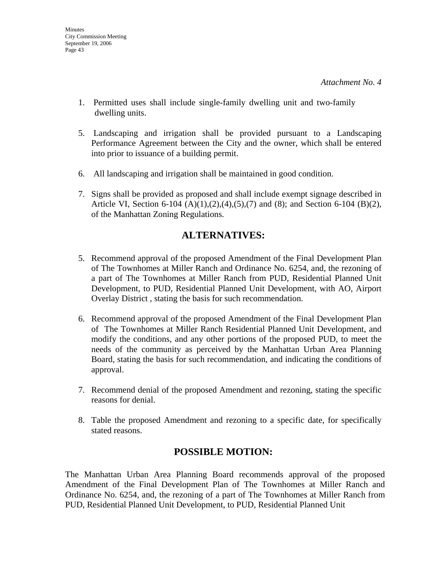- 1. Permitted uses shall include single-family dwelling unit and two-family dwelling units.
- 5. Landscaping and irrigation shall be provided pursuant to a Landscaping Performance Agreement between the City and the owner, which shall be entered into prior to issuance of a building permit.
- 6. All landscaping and irrigation shall be maintained in good condition.
- 7. Signs shall be provided as proposed and shall include exempt signage described in Article VI, Section 6-104 (A)(1),(2),(4),(5),(7) and (8); and Section 6-104 (B)(2), of the Manhattan Zoning Regulations.

### **ALTERNATIVES:**

- 5. Recommend approval of the proposed Amendment of the Final Development Plan of The Townhomes at Miller Ranch and Ordinance No. 6254, and, the rezoning of a part of The Townhomes at Miller Ranch from PUD, Residential Planned Unit Development, to PUD, Residential Planned Unit Development, with AO, Airport Overlay District , stating the basis for such recommendation.
- 6. Recommend approval of the proposed Amendment of the Final Development Plan of The Townhomes at Miller Ranch Residential Planned Unit Development, and modify the conditions, and any other portions of the proposed PUD, to meet the needs of the community as perceived by the Manhattan Urban Area Planning Board, stating the basis for such recommendation, and indicating the conditions of approval.
- 7. Recommend denial of the proposed Amendment and rezoning, stating the specific reasons for denial.
- 8. Table the proposed Amendment and rezoning to a specific date, for specifically stated reasons.

## **POSSIBLE MOTION:**

The Manhattan Urban Area Planning Board recommends approval of the proposed Amendment of the Final Development Plan of The Townhomes at Miller Ranch and Ordinance No. 6254, and, the rezoning of a part of The Townhomes at Miller Ranch from PUD, Residential Planned Unit Development, to PUD, Residential Planned Unit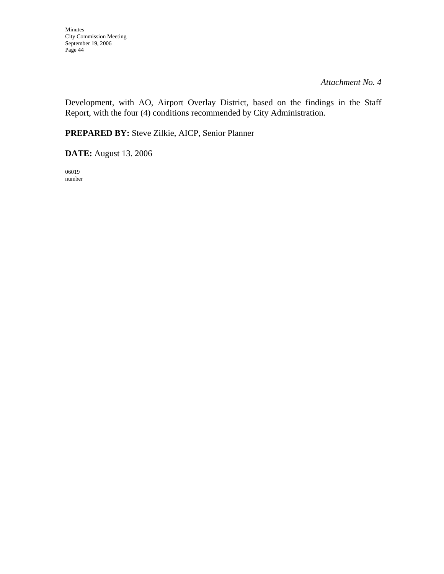*Attachment No. 4* 

Development, with AO, Airport Overlay District, based on the findings in the Staff Report, with the four (4) conditions recommended by City Administration.

**PREPARED BY:** Steve Zilkie, AICP, Senior Planner

**DATE:** August 13. 2006

06019 number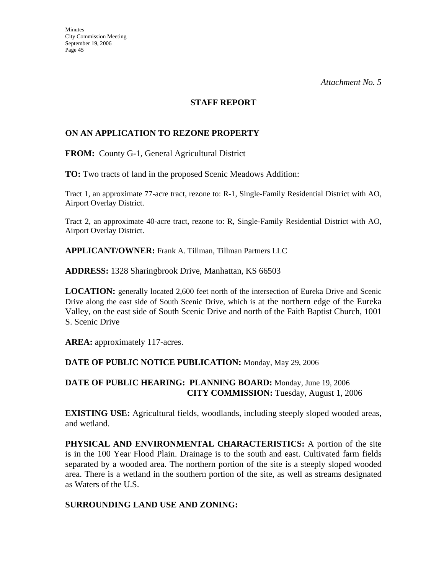#### **STAFF REPORT**

#### **ON AN APPLICATION TO REZONE PROPERTY**

**FROM:** County G-1, General Agricultural District

**TO:** Two tracts of land in the proposed Scenic Meadows Addition:

Tract 1, an approximate 77-acre tract, rezone to: R-1, Single-Family Residential District with AO, Airport Overlay District.

Tract 2, an approximate 40-acre tract, rezone to: R, Single-Family Residential District with AO, Airport Overlay District.

**APPLICANT/OWNER:** Frank A. Tillman, Tillman Partners LLC

**ADDRESS:** 1328 Sharingbrook Drive, Manhattan, KS 66503

**LOCATION:** generally located 2,600 feet north of the intersection of Eureka Drive and Scenic Drive along the east side of South Scenic Drive, which is at the northern edge of the Eureka Valley, on the east side of South Scenic Drive and north of the Faith Baptist Church, 1001 S. Scenic Drive

AREA: approximately 117-acres.

#### **DATE OF PUBLIC NOTICE PUBLICATION:** Monday, May 29, 2006

**DATE OF PUBLIC HEARING: PLANNING BOARD:** Monday, June 19, 2006 **CITY COMMISSION:** Tuesday, August 1, 2006

**EXISTING USE:** Agricultural fields, woodlands, including steeply sloped wooded areas, and wetland.

**PHYSICAL AND ENVIRONMENTAL CHARACTERISTICS:** A portion of the site is in the 100 Year Flood Plain. Drainage is to the south and east. Cultivated farm fields separated by a wooded area. The northern portion of the site is a steeply sloped wooded area. There is a wetland in the southern portion of the site, as well as streams designated as Waters of the U.S.

#### **SURROUNDING LAND USE AND ZONING:**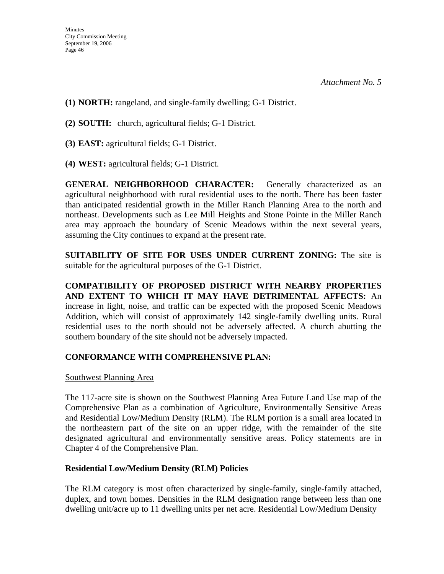- **(1) NORTH:** rangeland, and single-family dwelling; G-1 District.
- **(2) SOUTH:** church, agricultural fields; G-1 District.
- **(3) EAST:** agricultural fields; G-1 District.
- **(4) WEST:** agricultural fields; G-1 District.

**GENERAL NEIGHBORHOOD CHARACTER:** Generally characterized as an agricultural neighborhood with rural residential uses to the north. There has been faster than anticipated residential growth in the Miller Ranch Planning Area to the north and northeast. Developments such as Lee Mill Heights and Stone Pointe in the Miller Ranch area may approach the boundary of Scenic Meadows within the next several years, assuming the City continues to expand at the present rate.

**SUITABILITY OF SITE FOR USES UNDER CURRENT ZONING:** The site is suitable for the agricultural purposes of the G-1 District.

**COMPATIBILITY OF PROPOSED DISTRICT WITH NEARBY PROPERTIES AND EXTENT TO WHICH IT MAY HAVE DETRIMENTAL AFFECTS:** An increase in light, noise, and traffic can be expected with the proposed Scenic Meadows Addition, which will consist of approximately 142 single-family dwelling units. Rural residential uses to the north should not be adversely affected. A church abutting the southern boundary of the site should not be adversely impacted.

#### **CONFORMANCE WITH COMPREHENSIVE PLAN:**

#### Southwest Planning Area

The 117-acre site is shown on the Southwest Planning Area Future Land Use map of the Comprehensive Plan as a combination of Agriculture, Environmentally Sensitive Areas and Residential Low/Medium Density (RLM). The RLM portion is a small area located in the northeastern part of the site on an upper ridge, with the remainder of the site designated agricultural and environmentally sensitive areas. Policy statements are in Chapter 4 of the Comprehensive Plan.

#### **Residential Low/Medium Density (RLM) Policies**

The RLM category is most often characterized by single-family, single-family attached, duplex, and town homes. Densities in the RLM designation range between less than one dwelling unit/acre up to 11 dwelling units per net acre. Residential Low/Medium Density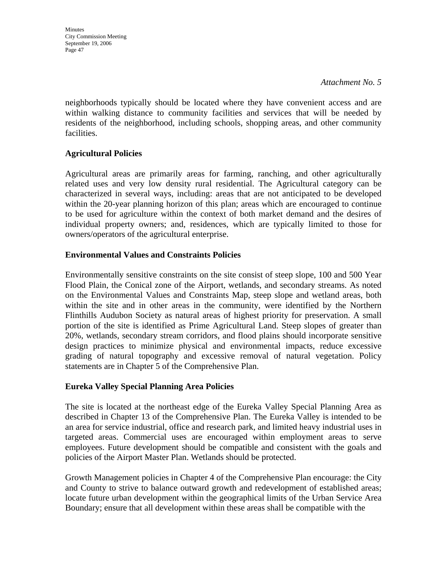*Attachment No. 5* 

neighborhoods typically should be located where they have convenient access and are within walking distance to community facilities and services that will be needed by residents of the neighborhood, including schools, shopping areas, and other community facilities.

#### **Agricultural Policies**

Agricultural areas are primarily areas for farming, ranching, and other agriculturally related uses and very low density rural residential. The Agricultural category can be characterized in several ways, including: areas that are not anticipated to be developed within the 20-year planning horizon of this plan; areas which are encouraged to continue to be used for agriculture within the context of both market demand and the desires of individual property owners; and, residences, which are typically limited to those for owners/operators of the agricultural enterprise.

#### **Environmental Values and Constraints Policies**

Environmentally sensitive constraints on the site consist of steep slope, 100 and 500 Year Flood Plain, the Conical zone of the Airport, wetlands, and secondary streams. As noted on the Environmental Values and Constraints Map, steep slope and wetland areas, both within the site and in other areas in the community, were identified by the Northern Flinthills Audubon Society as natural areas of highest priority for preservation. A small portion of the site is identified as Prime Agricultural Land. Steep slopes of greater than 20%, wetlands, secondary stream corridors, and flood plains should incorporate sensitive design practices to minimize physical and environmental impacts, reduce excessive grading of natural topography and excessive removal of natural vegetation. Policy statements are in Chapter 5 of the Comprehensive Plan.

#### **Eureka Valley Special Planning Area Policies**

The site is located at the northeast edge of the Eureka Valley Special Planning Area as described in Chapter 13 of the Comprehensive Plan. The Eureka Valley is intended to be an area for service industrial, office and research park, and limited heavy industrial uses in targeted areas. Commercial uses are encouraged within employment areas to serve employees. Future development should be compatible and consistent with the goals and policies of the Airport Master Plan. Wetlands should be protected.

Growth Management policies in Chapter 4 of the Comprehensive Plan encourage: the City and County to strive to balance outward growth and redevelopment of established areas; locate future urban development within the geographical limits of the Urban Service Area Boundary; ensure that all development within these areas shall be compatible with the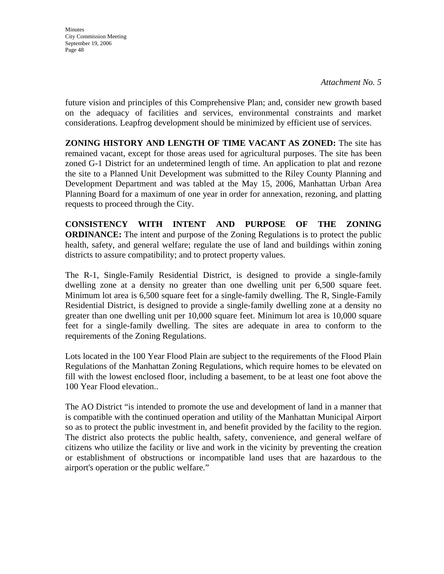**Minutes** City Commission Meeting September 19, 2006 Page 48

future vision and principles of this Comprehensive Plan; and, consider new growth based on the adequacy of facilities and services, environmental constraints and market considerations. Leapfrog development should be minimized by efficient use of services.

**ZONING HISTORY AND LENGTH OF TIME VACANT AS ZONED:** The site has remained vacant, except for those areas used for agricultural purposes. The site has been zoned G-1 District for an undetermined length of time. An application to plat and rezone the site to a Planned Unit Development was submitted to the Riley County Planning and Development Department and was tabled at the May 15, 2006, Manhattan Urban Area Planning Board for a maximum of one year in order for annexation, rezoning, and platting requests to proceed through the City.

**CONSISTENCY WITH INTENT AND PURPOSE OF THE ZONING ORDINANCE:** The intent and purpose of the Zoning Regulations is to protect the public health, safety, and general welfare; regulate the use of land and buildings within zoning districts to assure compatibility; and to protect property values.

The R-1, Single-Family Residential District, is designed to provide a single-family dwelling zone at a density no greater than one dwelling unit per 6,500 square feet. Minimum lot area is 6,500 square feet for a single-family dwelling. The R, Single-Family Residential District, is designed to provide a single-family dwelling zone at a density no greater than one dwelling unit per 10,000 square feet. Minimum lot area is 10,000 square feet for a single-family dwelling. The sites are adequate in area to conform to the requirements of the Zoning Regulations.

Lots located in the 100 Year Flood Plain are subject to the requirements of the Flood Plain Regulations of the Manhattan Zoning Regulations, which require homes to be elevated on fill with the lowest enclosed floor, including a basement, to be at least one foot above the 100 Year Flood elevation..

The AO District "is intended to promote the use and development of land in a manner that is compatible with the continued operation and utility of the Manhattan Municipal Airport so as to protect the public investment in, and benefit provided by the facility to the region. The district also protects the public health, safety, convenience, and general welfare of citizens who utilize the facility or live and work in the vicinity by preventing the creation or establishment of obstructions or incompatible land uses that are hazardous to the airport's operation or the public welfare."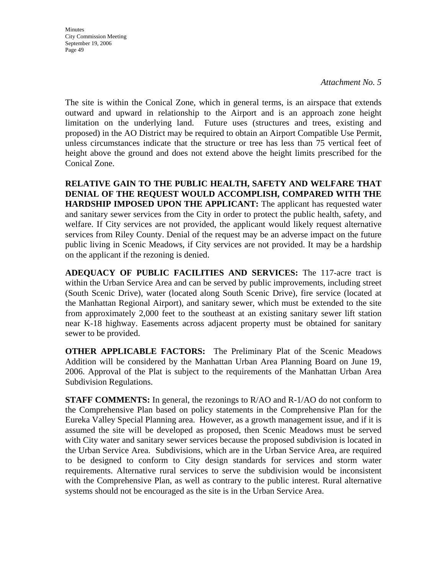**Minutes** City Commission Meeting September 19, 2006 Page 49

The site is within the Conical Zone, which in general terms, is an airspace that extends outward and upward in relationship to the Airport and is an approach zone height limitation on the underlying land. Future uses (structures and trees, existing and proposed) in the AO District may be required to obtain an Airport Compatible Use Permit, unless circumstances indicate that the structure or tree has less than 75 vertical feet of height above the ground and does not extend above the height limits prescribed for the Conical Zone.

**RELATIVE GAIN TO THE PUBLIC HEALTH, SAFETY AND WELFARE THAT DENIAL OF THE REQUEST WOULD ACCOMPLISH, COMPARED WITH THE HARDSHIP IMPOSED UPON THE APPLICANT:** The applicant has requested water and sanitary sewer services from the City in order to protect the public health, safety, and welfare. If City services are not provided, the applicant would likely request alternative services from Riley County. Denial of the request may be an adverse impact on the future public living in Scenic Meadows, if City services are not provided. It may be a hardship on the applicant if the rezoning is denied.

**ADEQUACY OF PUBLIC FACILITIES AND SERVICES:** The 117-acre tract is within the Urban Service Area and can be served by public improvements, including street (South Scenic Drive), water (located along South Scenic Drive), fire service (located at the Manhattan Regional Airport), and sanitary sewer, which must be extended to the site from approximately 2,000 feet to the southeast at an existing sanitary sewer lift station near K-18 highway. Easements across adjacent property must be obtained for sanitary sewer to be provided.

**OTHER APPLICABLE FACTORS:** The Preliminary Plat of the Scenic Meadows Addition will be considered by the Manhattan Urban Area Planning Board on June 19, 2006. Approval of the Plat is subject to the requirements of the Manhattan Urban Area Subdivision Regulations.

**STAFF COMMENTS:** In general, the rezonings to R/AO and R-1/AO do not conform to the Comprehensive Plan based on policy statements in the Comprehensive Plan for the Eureka Valley Special Planning area. However, as a growth management issue, and if it is assumed the site will be developed as proposed, then Scenic Meadows must be served with City water and sanitary sewer services because the proposed subdivision is located in the Urban Service Area. Subdivisions, which are in the Urban Service Area, are required to be designed to conform to City design standards for services and storm water requirements. Alternative rural services to serve the subdivision would be inconsistent with the Comprehensive Plan, as well as contrary to the public interest. Rural alternative systems should not be encouraged as the site is in the Urban Service Area.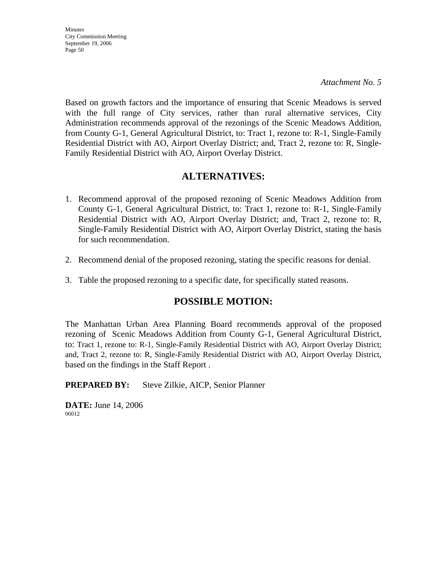*Attachment No. 5* 

Based on growth factors and the importance of ensuring that Scenic Meadows is served with the full range of City services, rather than rural alternative services, City Administration recommends approval of the rezonings of the Scenic Meadows Addition, from County G-1, General Agricultural District, to: Tract 1, rezone to: R-1, Single-Family Residential District with AO, Airport Overlay District; and, Tract 2, rezone to: R, Single-Family Residential District with AO, Airport Overlay District.

### **ALTERNATIVES:**

- 1. Recommend approval of the proposed rezoning of Scenic Meadows Addition from County G-1, General Agricultural District, to: Tract 1, rezone to: R-1, Single-Family Residential District with AO, Airport Overlay District; and, Tract 2, rezone to: R, Single-Family Residential District with AO, Airport Overlay District, stating the basis for such recommendation.
- 2. Recommend denial of the proposed rezoning, stating the specific reasons for denial.
- 3. Table the proposed rezoning to a specific date, for specifically stated reasons.

### **POSSIBLE MOTION:**

The Manhattan Urban Area Planning Board recommends approval of the proposed rezoning of Scenic Meadows Addition from County G-1, General Agricultural District, to: Tract 1, rezone to: R-1, Single-Family Residential District with AO, Airport Overlay District; and, Tract 2, rezone to: R, Single-Family Residential District with AO, Airport Overlay District, based on the findings in the Staff Report .

**PREPARED BY:** Steve Zilkie, AICP, Senior Planner

**DATE:** June 14, 2006 06012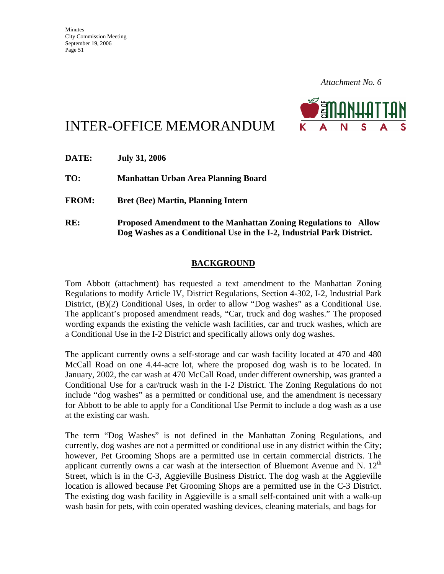

# INTER-OFFICE MEMORANDUM

| DATE:        | <b>July 31, 2006</b>                                                                                                                            |
|--------------|-------------------------------------------------------------------------------------------------------------------------------------------------|
| TO:          | Manhattan Urban Area Planning Board                                                                                                             |
| <b>FROM:</b> | <b>Bret (Bee) Martin, Planning Intern</b>                                                                                                       |
| RE:          | <b>Proposed Amendment to the Manhattan Zoning Regulations to Allow</b><br>Dog Washes as a Conditional Use in the I-2, Industrial Park District. |

#### **BACKGROUND**

Tom Abbott (attachment) has requested a text amendment to the Manhattan Zoning Regulations to modify Article IV, District Regulations, Section 4-302, I-2, Industrial Park District, (B)(2) Conditional Uses, in order to allow "Dog washes" as a Conditional Use. The applicant's proposed amendment reads, "Car, truck and dog washes." The proposed wording expands the existing the vehicle wash facilities, car and truck washes, which are a Conditional Use in the I-2 District and specifically allows only dog washes.

The applicant currently owns a self-storage and car wash facility located at 470 and 480 McCall Road on one 4.44-acre lot, where the proposed dog wash is to be located. In January, 2002, the car wash at 470 McCall Road, under different ownership, was granted a Conditional Use for a car/truck wash in the I-2 District. The Zoning Regulations do not include "dog washes" as a permitted or conditional use, and the amendment is necessary for Abbott to be able to apply for a Conditional Use Permit to include a dog wash as a use at the existing car wash.

The term "Dog Washes" is not defined in the Manhattan Zoning Regulations, and currently, dog washes are not a permitted or conditional use in any district within the City; however, Pet Grooming Shops are a permitted use in certain commercial districts. The applicant currently owns a car wash at the intersection of Bluemont Avenue and N.  $12<sup>th</sup>$ Street, which is in the C-3, Aggieville Business District. The dog wash at the Aggieville location is allowed because Pet Grooming Shops are a permitted use in the C-3 District. The existing dog wash facility in Aggieville is a small self-contained unit with a walk-up wash basin for pets, with coin operated washing devices, cleaning materials, and bags for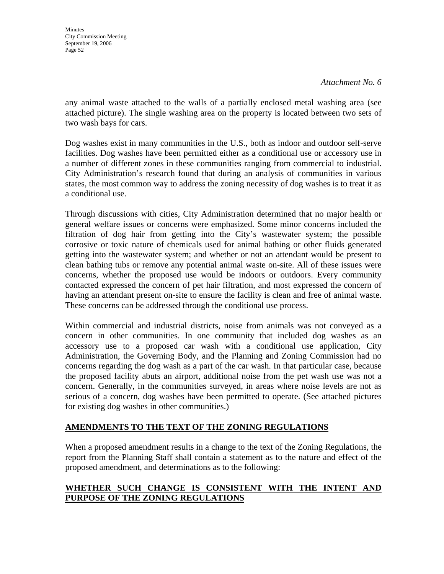*Attachment No. 6* 

any animal waste attached to the walls of a partially enclosed metal washing area (see attached picture). The single washing area on the property is located between two sets of two wash bays for cars.

Dog washes exist in many communities in the U.S., both as indoor and outdoor self-serve facilities. Dog washes have been permitted either as a conditional use or accessory use in a number of different zones in these communities ranging from commercial to industrial. City Administration's research found that during an analysis of communities in various states, the most common way to address the zoning necessity of dog washes is to treat it as a conditional use.

Through discussions with cities, City Administration determined that no major health or general welfare issues or concerns were emphasized. Some minor concerns included the filtration of dog hair from getting into the City's wastewater system; the possible corrosive or toxic nature of chemicals used for animal bathing or other fluids generated getting into the wastewater system; and whether or not an attendant would be present to clean bathing tubs or remove any potential animal waste on-site. All of these issues were concerns, whether the proposed use would be indoors or outdoors. Every community contacted expressed the concern of pet hair filtration, and most expressed the concern of having an attendant present on-site to ensure the facility is clean and free of animal waste. These concerns can be addressed through the conditional use process.

Within commercial and industrial districts, noise from animals was not conveyed as a concern in other communities. In one community that included dog washes as an accessory use to a proposed car wash with a conditional use application, City Administration, the Governing Body, and the Planning and Zoning Commission had no concerns regarding the dog wash as a part of the car wash. In that particular case, because the proposed facility abuts an airport, additional noise from the pet wash use was not a concern. Generally, in the communities surveyed, in areas where noise levels are not as serious of a concern, dog washes have been permitted to operate. (See attached pictures for existing dog washes in other communities.)

#### **AMENDMENTS TO THE TEXT OF THE ZONING REGULATIONS**

When a proposed amendment results in a change to the text of the Zoning Regulations, the report from the Planning Staff shall contain a statement as to the nature and effect of the proposed amendment, and determinations as to the following:

#### **WHETHER SUCH CHANGE IS CONSISTENT WITH THE INTENT AND PURPOSE OF THE ZONING REGULATIONS**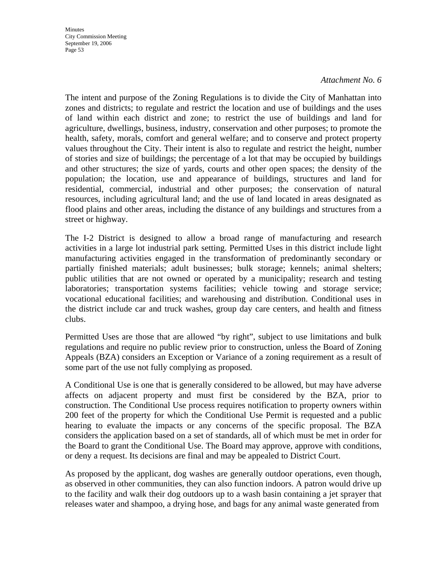#### *Attachment No. 6*

The intent and purpose of the Zoning Regulations is to divide the City of Manhattan into zones and districts; to regulate and restrict the location and use of buildings and the uses of land within each district and zone; to restrict the use of buildings and land for agriculture, dwellings, business, industry, conservation and other purposes; to promote the health, safety, morals, comfort and general welfare; and to conserve and protect property values throughout the City. Their intent is also to regulate and restrict the height, number of stories and size of buildings; the percentage of a lot that may be occupied by buildings and other structures; the size of yards, courts and other open spaces; the density of the population; the location, use and appearance of buildings, structures and land for residential, commercial, industrial and other purposes; the conservation of natural resources, including agricultural land; and the use of land located in areas designated as flood plains and other areas, including the distance of any buildings and structures from a street or highway.

The I-2 District is designed to allow a broad range of manufacturing and research activities in a large lot industrial park setting. Permitted Uses in this district include light manufacturing activities engaged in the transformation of predominantly secondary or partially finished materials; adult businesses; bulk storage; kennels; animal shelters; public utilities that are not owned or operated by a municipality; research and testing laboratories; transportation systems facilities; vehicle towing and storage service; vocational educational facilities; and warehousing and distribution. Conditional uses in the district include car and truck washes, group day care centers, and health and fitness clubs.

Permitted Uses are those that are allowed "by right", subject to use limitations and bulk regulations and require no public review prior to construction, unless the Board of Zoning Appeals (BZA) considers an Exception or Variance of a zoning requirement as a result of some part of the use not fully complying as proposed.

A Conditional Use is one that is generally considered to be allowed, but may have adverse affects on adjacent property and must first be considered by the BZA, prior to construction. The Conditional Use process requires notification to property owners within 200 feet of the property for which the Conditional Use Permit is requested and a public hearing to evaluate the impacts or any concerns of the specific proposal. The BZA considers the application based on a set of standards, all of which must be met in order for the Board to grant the Conditional Use. The Board may approve, approve with conditions, or deny a request. Its decisions are final and may be appealed to District Court.

As proposed by the applicant, dog washes are generally outdoor operations, even though, as observed in other communities, they can also function indoors. A patron would drive up to the facility and walk their dog outdoors up to a wash basin containing a jet sprayer that releases water and shampoo, a drying hose, and bags for any animal waste generated from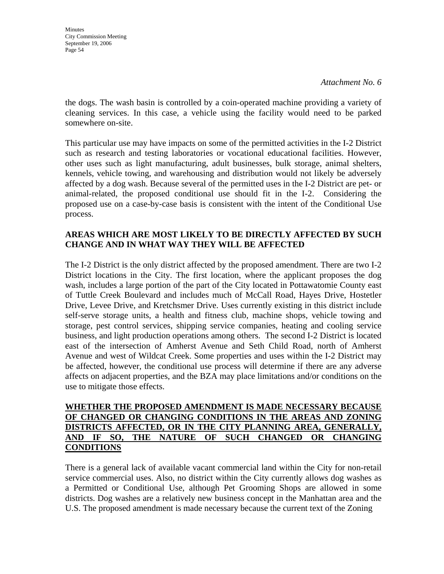**Minutes** City Commission Meeting September 19, 2006 Page 54

the dogs. The wash basin is controlled by a coin-operated machine providing a variety of cleaning services. In this case, a vehicle using the facility would need to be parked somewhere on-site.

This particular use may have impacts on some of the permitted activities in the I-2 District such as research and testing laboratories or vocational educational facilities. However, other uses such as light manufacturing, adult businesses, bulk storage, animal shelters, kennels, vehicle towing, and warehousing and distribution would not likely be adversely affected by a dog wash. Because several of the permitted uses in the I-2 District are pet- or animal-related, the proposed conditional use should fit in the I-2. Considering the proposed use on a case-by-case basis is consistent with the intent of the Conditional Use process.

#### **AREAS WHICH ARE MOST LIKELY TO BE DIRECTLY AFFECTED BY SUCH CHANGE AND IN WHAT WAY THEY WILL BE AFFECTED**

The I-2 District is the only district affected by the proposed amendment. There are two I-2 District locations in the City. The first location, where the applicant proposes the dog wash, includes a large portion of the part of the City located in Pottawatomie County east of Tuttle Creek Boulevard and includes much of McCall Road, Hayes Drive, Hostetler Drive, Levee Drive, and Kretchsmer Drive. Uses currently existing in this district include self-serve storage units, a health and fitness club, machine shops, vehicle towing and storage, pest control services, shipping service companies, heating and cooling service business, and light production operations among others. The second I-2 District is located east of the intersection of Amherst Avenue and Seth Child Road, north of Amherst Avenue and west of Wildcat Creek. Some properties and uses within the I-2 District may be affected, however, the conditional use process will determine if there are any adverse affects on adjacent properties, and the BZA may place limitations and/or conditions on the use to mitigate those effects.

#### **WHETHER THE PROPOSED AMENDMENT IS MADE NECESSARY BECAUSE OF CHANGED OR CHANGING CONDITIONS IN THE AREAS AND ZONING DISTRICTS AFFECTED, OR IN THE CITY PLANNING AREA, GENERALLY, AND IF SO, THE NATURE OF SUCH CHANGED OR CHANGING CONDITIONS**

There is a general lack of available vacant commercial land within the City for non-retail service commercial uses. Also, no district within the City currently allows dog washes as a Permitted or Conditional Use, although Pet Grooming Shops are allowed in some districts. Dog washes are a relatively new business concept in the Manhattan area and the U.S. The proposed amendment is made necessary because the current text of the Zoning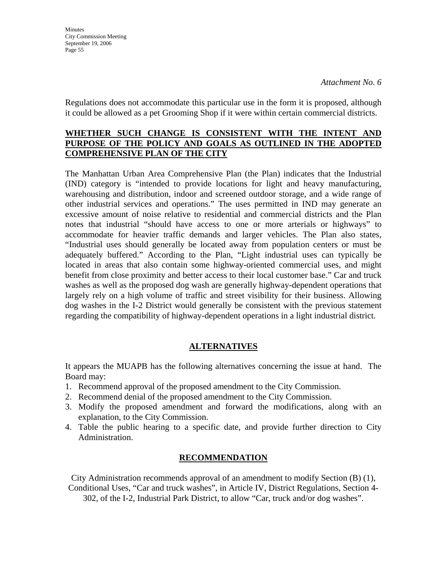**Minutes** City Commission Meeting September 19, 2006 Page 55

Regulations does not accommodate this particular use in the form it is proposed, although it could be allowed as a pet Grooming Shop if it were within certain commercial districts.

#### **WHETHER SUCH CHANGE IS CONSISTENT WITH THE INTENT AND PURPOSE OF THE POLICY AND GOALS AS OUTLINED IN THE ADOPTED COMPREHENSIVE PLAN OF THE CITY**

The Manhattan Urban Area Comprehensive Plan (the Plan) indicates that the Industrial (IND) category is "intended to provide locations for light and heavy manufacturing, warehousing and distribution, indoor and screened outdoor storage, and a wide range of other industrial services and operations." The uses permitted in IND may generate an excessive amount of noise relative to residential and commercial districts and the Plan notes that industrial "should have access to one or more arterials or highways" to accommodate for heavier traffic demands and larger vehicles. The Plan also states, "Industrial uses should generally be located away from population centers or must be adequately buffered." According to the Plan, "Light industrial uses can typically be located in areas that also contain some highway-oriented commercial uses, and might benefit from close proximity and better access to their local customer base." Car and truck washes as well as the proposed dog wash are generally highway-dependent operations that largely rely on a high volume of traffic and street visibility for their business. Allowing dog washes in the I-2 District would generally be consistent with the previous statement regarding the compatibility of highway-dependent operations in a light industrial district*.* 

#### **ALTERNATIVES**

It appears the MUAPB has the following alternatives concerning the issue at hand. The Board may:

- 1. Recommend approval of the proposed amendment to the City Commission.
- 2. Recommend denial of the proposed amendment to the City Commission.
- 3. Modify the proposed amendment and forward the modifications, along with an explanation, to the City Commission.
- 4. Table the public hearing to a specific date, and provide further direction to City Administration.

#### **RECOMMENDATION**

City Administration recommends approval of an amendment to modify Section (B) (1), Conditional Uses, "Car and truck washes", in Article IV, District Regulations, Section 4- 302, of the I-2, Industrial Park District, to allow "Car, truck and/or dog washes".